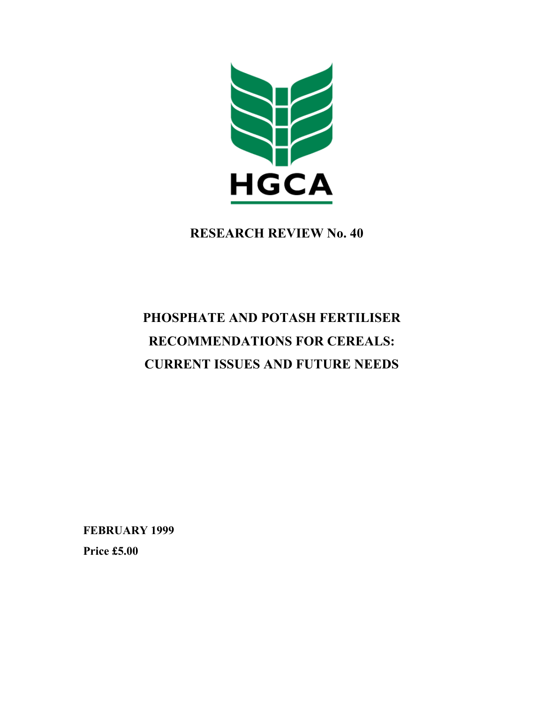

**RESEARCH REVIEW No. 40** 

# **PHOSPHATE AND POTASH FERTILISER RECOMMENDATIONS FOR CEREALS: CURRENT ISSUES AND FUTURE NEEDS**

**FEBRUARY 1999** 

**Price £5.00**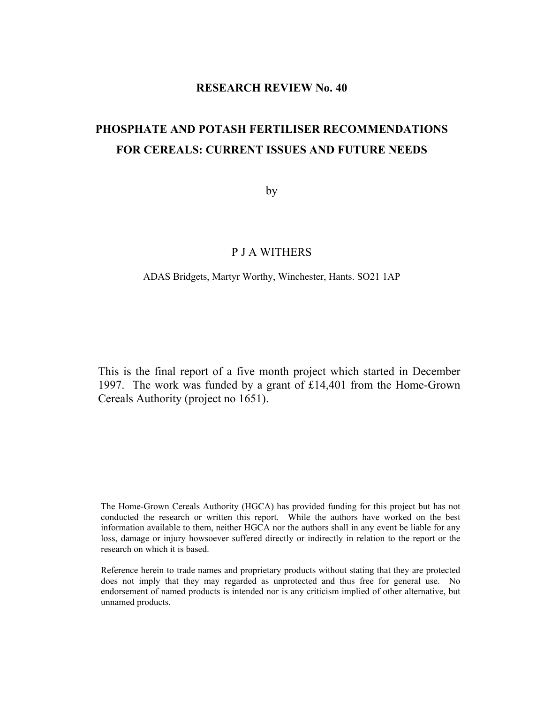# **RESEARCH REVIEW No. 40**

# **PHOSPHATE AND POTASH FERTILISER RECOMMENDATIONS FOR CEREALS: CURRENT ISSUES AND FUTURE NEEDS**

by

# P J A WITHERS

#### ADAS Bridgets, Martyr Worthy, Winchester, Hants. SO21 1AP

This is the final report of a five month project which started in December 1997. The work was funded by a grant of £14,401 from the Home-Grown Cereals Authority (project no 1651).

The Home-Grown Cereals Authority (HGCA) has provided funding for this project but has not conducted the research or written this report. While the authors have worked on the best information available to them, neither HGCA nor the authors shall in any event be liable for any loss, damage or injury howsoever suffered directly or indirectly in relation to the report or the research on which it is based.

Reference herein to trade names and proprietary products without stating that they are protected does not imply that they may regarded as unprotected and thus free for general use. No endorsement of named products is intended nor is any criticism implied of other alternative, but unnamed products.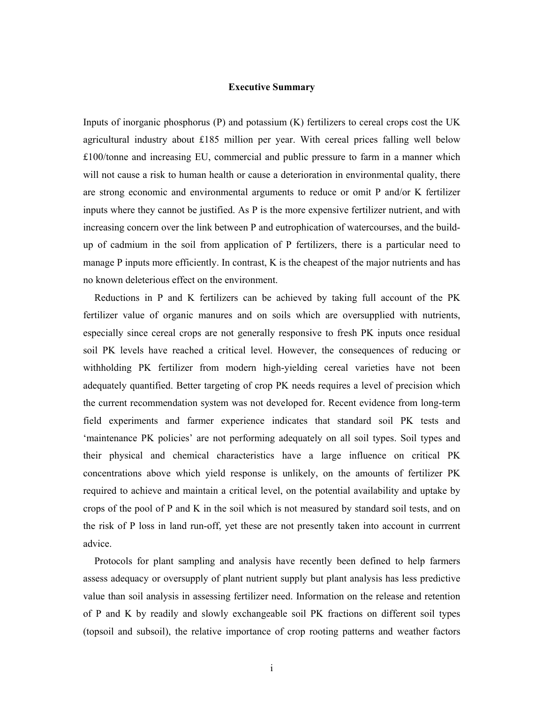# **Executive Summary**

Inputs of inorganic phosphorus (P) and potassium (K) fertilizers to cereal crops cost the UK agricultural industry about £185 million per year. With cereal prices falling well below £100/tonne and increasing EU, commercial and public pressure to farm in a manner which will not cause a risk to human health or cause a deterioration in environmental quality, there are strong economic and environmental arguments to reduce or omit P and/or K fertilizer inputs where they cannot be justified. As P is the more expensive fertilizer nutrient, and with increasing concern over the link between P and eutrophication of watercourses, and the buildup of cadmium in the soil from application of P fertilizers, there is a particular need to manage P inputs more efficiently. In contrast, K is the cheapest of the major nutrients and has no known deleterious effect on the environment.

 Reductions in P and K fertilizers can be achieved by taking full account of the PK fertilizer value of organic manures and on soils which are oversupplied with nutrients, especially since cereal crops are not generally responsive to fresh PK inputs once residual soil PK levels have reached a critical level. However, the consequences of reducing or withholding PK fertilizer from modern high-yielding cereal varieties have not been adequately quantified. Better targeting of crop PK needs requires a level of precision which the current recommendation system was not developed for. Recent evidence from long-term field experiments and farmer experience indicates that standard soil PK tests and 'maintenance PK policies' are not performing adequately on all soil types. Soil types and their physical and chemical characteristics have a large influence on critical PK concentrations above which yield response is unlikely, on the amounts of fertilizer PK required to achieve and maintain a critical level, on the potential availability and uptake by crops of the pool of P and K in the soil which is not measured by standard soil tests, and on the risk of P loss in land run-off, yet these are not presently taken into account in currrent advice.

 Protocols for plant sampling and analysis have recently been defined to help farmers assess adequacy or oversupply of plant nutrient supply but plant analysis has less predictive value than soil analysis in assessing fertilizer need. Information on the release and retention of P and K by readily and slowly exchangeable soil PK fractions on different soil types (topsoil and subsoil), the relative importance of crop rooting patterns and weather factors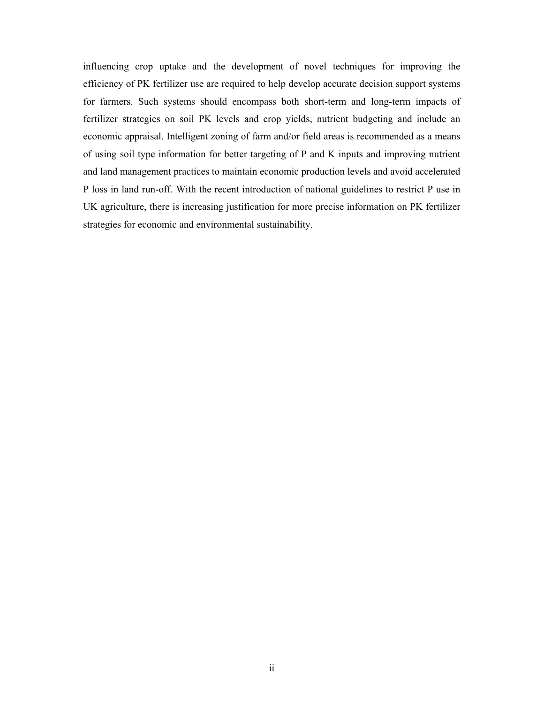influencing crop uptake and the development of novel techniques for improving the efficiency of PK fertilizer use are required to help develop accurate decision support systems for farmers. Such systems should encompass both short-term and long-term impacts of fertilizer strategies on soil PK levels and crop yields, nutrient budgeting and include an economic appraisal. Intelligent zoning of farm and/or field areas is recommended as a means of using soil type information for better targeting of P and K inputs and improving nutrient and land management practices to maintain economic production levels and avoid accelerated P loss in land run-off. With the recent introduction of national guidelines to restrict P use in UK agriculture, there is increasing justification for more precise information on PK fertilizer strategies for economic and environmental sustainability.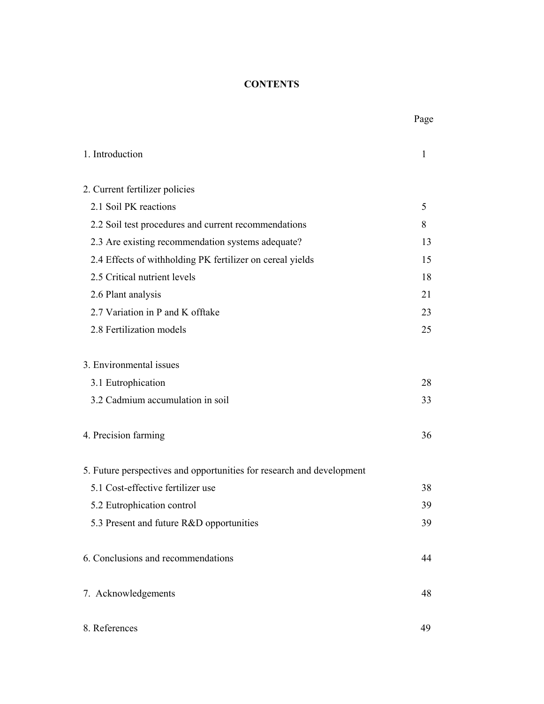# **CONTENTS**

| 1. Introduction                                                       | 1  |
|-----------------------------------------------------------------------|----|
| 2. Current fertilizer policies                                        |    |
| 2.1 Soil PK reactions                                                 | 5  |
| 2.2 Soil test procedures and current recommendations                  | 8  |
| 2.3 Are existing recommendation systems adequate?                     | 13 |
| 2.4 Effects of withholding PK fertilizer on cereal yields             | 15 |
| 2.5 Critical nutrient levels                                          | 18 |
| 2.6 Plant analysis                                                    | 21 |
| 2.7 Variation in P and K offtake                                      | 23 |
| 2.8 Fertilization models                                              | 25 |
| 3. Environmental issues                                               |    |
| 3.1 Eutrophication                                                    | 28 |
| 3.2 Cadmium accumulation in soil                                      | 33 |
| 4. Precision farming                                                  | 36 |
| 5. Future perspectives and opportunities for research and development |    |
| 5.1 Cost-effective fertilizer use                                     | 38 |
| 5.2 Eutrophication control                                            | 39 |
| 5.3 Present and future R&D opportunities                              | 39 |
| 6. Conclusions and recommendations                                    | 44 |
| 7. Acknowledgements                                                   | 48 |
| 8. References                                                         | 49 |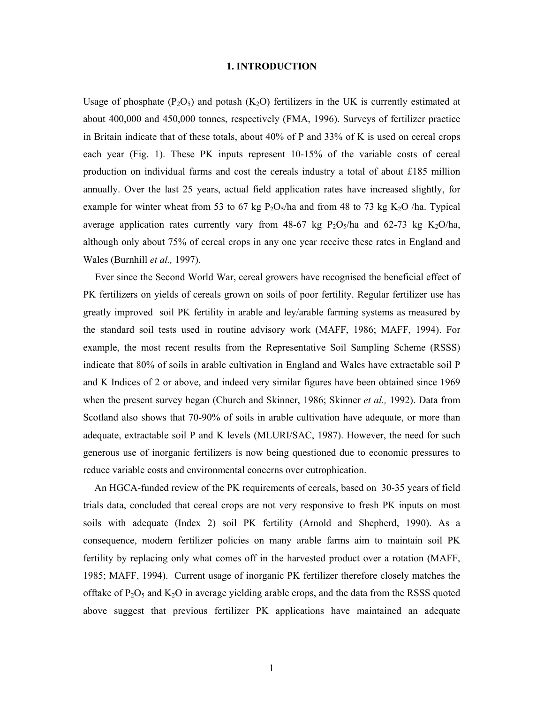#### **1. INTRODUCTION**

Usage of phosphate  $(P_2O_5)$  and potash  $(K_2O)$  fertilizers in the UK is currently estimated at about 400,000 and 450,000 tonnes, respectively (FMA, 1996). Surveys of fertilizer practice in Britain indicate that of these totals, about  $40\%$  of P and 33% of K is used on cereal crops each year (Fig. 1). These PK inputs represent 10-15% of the variable costs of cereal production on individual farms and cost the cereals industry a total of about £185 million annually. Over the last 25 years, actual field application rates have increased slightly, for example for winter wheat from 53 to 67 kg  $P_2O_5/ha$  and from 48 to 73 kg K<sub>2</sub>O /ha. Typical average application rates currently vary from 48-67 kg  $P_2O_5/ha$  and 62-73 kg  $K_2O/ha$ , although only about 75% of cereal crops in any one year receive these rates in England and Wales (Burnhill *et al.,* 1997).

 Ever since the Second World War, cereal growers have recognised the beneficial effect of PK fertilizers on yields of cereals grown on soils of poor fertility. Regular fertilizer use has greatly improved soil PK fertility in arable and ley/arable farming systems as measured by the standard soil tests used in routine advisory work (MAFF, 1986; MAFF, 1994). For example, the most recent results from the Representative Soil Sampling Scheme (RSSS) indicate that 80% of soils in arable cultivation in England and Wales have extractable soil P and K Indices of 2 or above, and indeed very similar figures have been obtained since 1969 when the present survey began (Church and Skinner, 1986; Skinner *et al.,* 1992). Data from Scotland also shows that 70-90% of soils in arable cultivation have adequate, or more than adequate, extractable soil P and K levels (MLURI/SAC, 1987). However, the need for such generous use of inorganic fertilizers is now being questioned due to economic pressures to reduce variable costs and environmental concerns over eutrophication.

 An HGCA-funded review of the PK requirements of cereals, based on 30-35 years of field trials data, concluded that cereal crops are not very responsive to fresh PK inputs on most soils with adequate (Index 2) soil PK fertility (Arnold and Shepherd, 1990). As a consequence, modern fertilizer policies on many arable farms aim to maintain soil PK fertility by replacing only what comes off in the harvested product over a rotation (MAFF, 1985; MAFF, 1994). Current usage of inorganic PK fertilizer therefore closely matches the offtake of  $P_2O_5$  and  $K_2O$  in average yielding arable crops, and the data from the RSSS quoted above suggest that previous fertilizer PK applications have maintained an adequate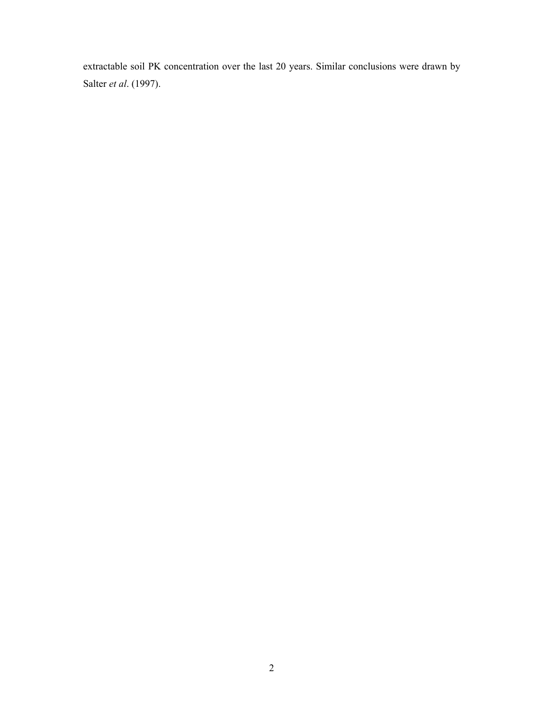extractable soil PK concentration over the last 20 years. Similar conclusions were drawn by Salter *et al*. (1997).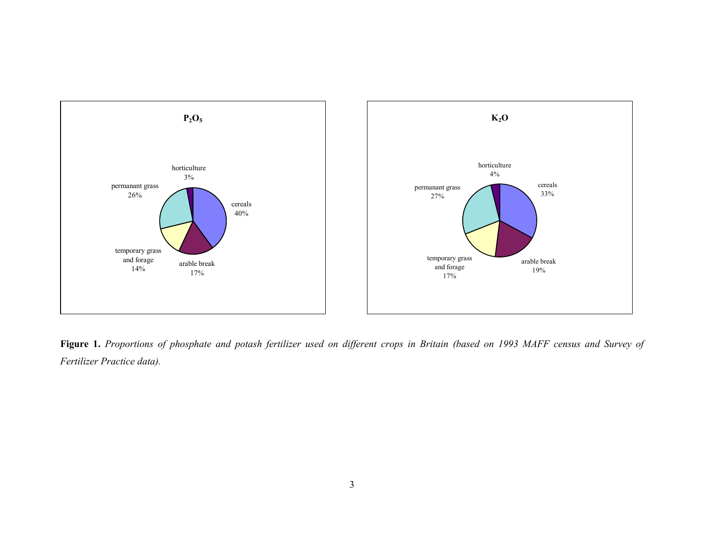

**Figure 1.** *Proportions of phosphate and potash fertilizer used on different crops in Britain (based on 1993 MAFF census and Survey of Fertilizer Practice data).*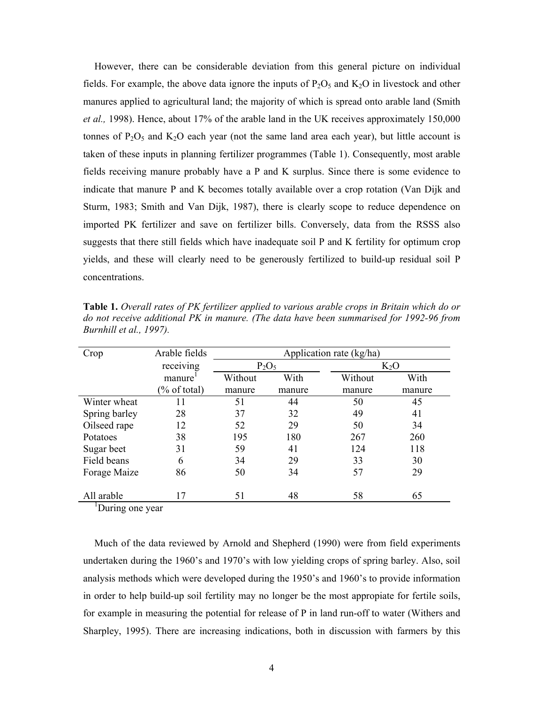However, there can be considerable deviation from this general picture on individual fields. For example, the above data ignore the inputs of  $P_2O_5$  and  $K_2O$  in livestock and other manures applied to agricultural land; the majority of which is spread onto arable land (Smith *et al.,* 1998). Hence, about 17% of the arable land in the UK receives approximately 150,000 tonnes of  $P_2O_5$  and  $K_2O$  each year (not the same land area each year), but little account is taken of these inputs in planning fertilizer programmes (Table 1). Consequently, most arable fields receiving manure probably have a P and K surplus. Since there is some evidence to indicate that manure P and K becomes totally available over a crop rotation (Van Dijk and Sturm, 1983; Smith and Van Dijk, 1987), there is clearly scope to reduce dependence on imported PK fertilizer and save on fertilizer bills. Conversely, data from the RSSS also suggests that there still fields which have inadequate soil P and K fertility for optimum crop yields, and these will clearly need to be generously fertilized to build-up residual soil P concentrations.

| Crop          | Arable fields           |         |          | Application rate (kg/ha) |        |
|---------------|-------------------------|---------|----------|--------------------------|--------|
|               | receiving               |         | $P_2O_5$ |                          | $K_2O$ |
|               | manure                  | Without | With     | Without                  | With   |
|               | $\frac{1}{2}$ of total) | manure  | manure   | manure                   | manure |
| Winter wheat  | 11                      | 51      | 44       | 50                       | 45     |
| Spring barley | 28                      | 37      | 32       | 49                       | 41     |
| Oilseed rape  | 12                      | 52      | 29       | 50                       | 34     |
| Potatoes      | 38                      | 195     | 180      | 267                      | 260    |
| Sugar beet    | 31                      | 59      | 41       | 124                      | 118    |
| Field beans   | 6                       | 34      | 29       | 33                       | 30     |
| Forage Maize  | 86                      | 50      | 34       | 57                       | 29     |
|               |                         |         |          |                          |        |
| All arable    | 17                      | 51      | 48       | 58                       | 65     |

**Table 1.** *Overall rates of PK fertilizer applied to various arable crops in Britain which do or do not receive additional PK in manure. (The data have been summarised for 1992-96 from Burnhill et al., 1997).* 

<sup>1</sup>During one year

 Much of the data reviewed by Arnold and Shepherd (1990) were from field experiments undertaken during the 1960's and 1970's with low yielding crops of spring barley. Also, soil analysis methods which were developed during the 1950's and 1960's to provide information in order to help build-up soil fertility may no longer be the most appropiate for fertile soils, for example in measuring the potential for release of P in land run-off to water (Withers and Sharpley, 1995). There are increasing indications, both in discussion with farmers by this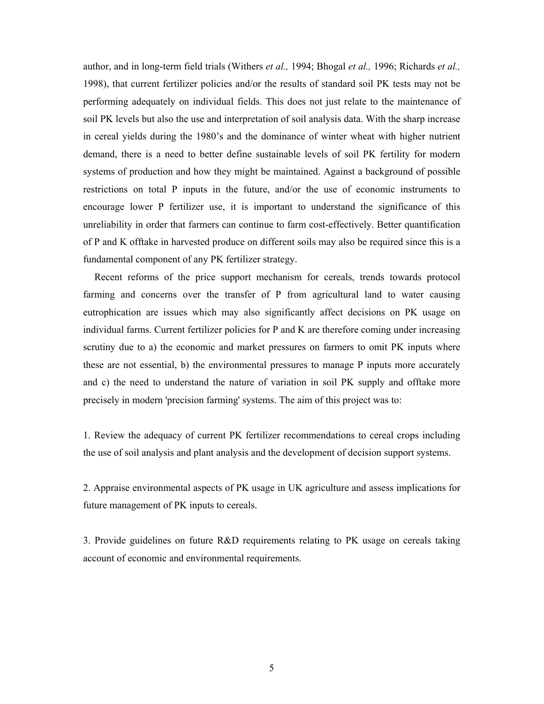author, and in long-term field trials (Withers *et al.,* 1994; Bhogal *et al.,* 1996; Richards *et al.,* 1998), that current fertilizer policies and/or the results of standard soil PK tests may not be performing adequately on individual fields. This does not just relate to the maintenance of soil PK levels but also the use and interpretation of soil analysis data. With the sharp increase in cereal yields during the 1980's and the dominance of winter wheat with higher nutrient demand, there is a need to better define sustainable levels of soil PK fertility for modern systems of production and how they might be maintained. Against a background of possible restrictions on total P inputs in the future, and/or the use of economic instruments to encourage lower P fertilizer use, it is important to understand the significance of this unreliability in order that farmers can continue to farm cost-effectively. Better quantification of P and K offtake in harvested produce on different soils may also be required since this is a fundamental component of any PK fertilizer strategy.

 Recent reforms of the price support mechanism for cereals, trends towards protocol farming and concerns over the transfer of P from agricultural land to water causing eutrophication are issues which may also significantly affect decisions on PK usage on individual farms. Current fertilizer policies for P and K are therefore coming under increasing scrutiny due to a) the economic and market pressures on farmers to omit PK inputs where these are not essential, b) the environmental pressures to manage P inputs more accurately and c) the need to understand the nature of variation in soil PK supply and offtake more precisely in modern 'precision farming' systems. The aim of this project was to:

1. Review the adequacy of current PK fertilizer recommendations to cereal crops including the use of soil analysis and plant analysis and the development of decision support systems.

2. Appraise environmental aspects of PK usage in UK agriculture and assess implications for future management of PK inputs to cereals.

3. Provide guidelines on future R&D requirements relating to PK usage on cereals taking account of economic and environmental requirements.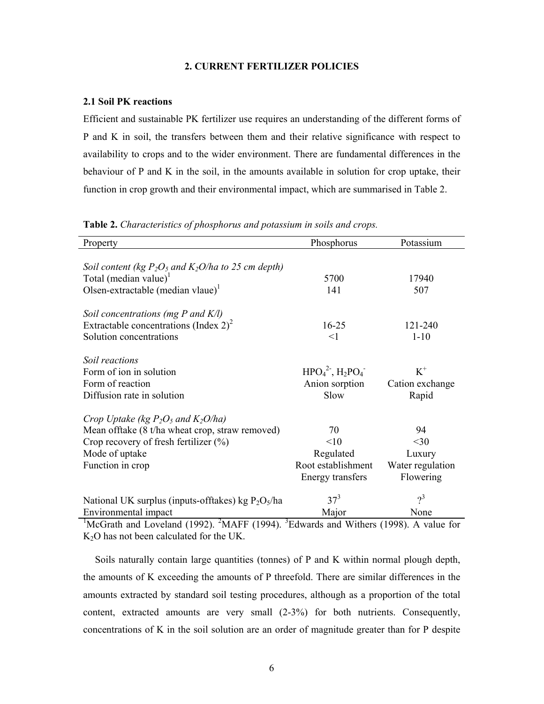# **2. CURRENT FERTILIZER POLICIES**

#### **2.1 Soil PK reactions**

Efficient and sustainable PK fertilizer use requires an understanding of the different forms of P and K in soil, the transfers between them and their relative significance with respect to availability to crops and to the wider environment. There are fundamental differences in the behaviour of P and K in the soil, in the amounts available in solution for crop uptake, their function in crop growth and their environmental impact, which are summarised in Table 2.

| Property                                                 | Phosphorus         | Potassium        |
|----------------------------------------------------------|--------------------|------------------|
|                                                          |                    |                  |
| Soil content (kg $P_2O_5$ and $K_2O/h$ a to 25 cm depth) |                    |                  |
| Total (median value) <sup>1</sup>                        | 5700               | 17940            |
| Olsen-extractable (median vlaue) <sup>1</sup>            | 141                | 507              |
| Soil concentrations (mg $P$ and $K/l$ )                  |                    |                  |
| Extractable concentrations (Index $2)^2$                 | $16 - 25$          | 121-240          |
| Solution concentrations                                  | <1                 | $1 - 10$         |
| Soil reactions                                           |                    |                  |
| Form of ion in solution                                  | $HPO42$ , $H2PO4$  | $K^+$            |
| Form of reaction                                         | Anion sorption     | Cation exchange  |
| Diffusion rate in solution                               | Slow               | Rapid            |
| Crop Uptake (kg $P_2O_5$ and $K_2O/ha$ )                 |                    |                  |
| Mean offtake (8 t/ha wheat crop, straw removed)          | 70                 | 94               |
| Crop recovery of fresh fertilizer $(\% )$                | <10                | $<$ 30           |
| Mode of uptake                                           | Regulated          | Luxury           |
| Function in crop                                         | Root establishment | Water regulation |
|                                                          | Energy transfers   | Flowering        |
| National UK surplus (inputs-offtakes) kg $P_2O_5/ha$     | $37^{3}$           | $2^3$            |
| Environmental impact                                     | Major              | None             |

**Table 2.** *Characteristics of phosphorus and potassium in soils and crops.* 

<sup>1</sup>McGrath and Loveland (1992). <sup>2</sup>MAFF (1994). <sup>3</sup>Edwards and Withers (1998). A value for K<sub>2</sub>O has not been calculated for the UK.

 Soils naturally contain large quantities (tonnes) of P and K within normal plough depth, the amounts of K exceeding the amounts of P threefold. There are similar differences in the amounts extracted by standard soil testing procedures, although as a proportion of the total content, extracted amounts are very small (2-3%) for both nutrients. Consequently, concentrations of K in the soil solution are an order of magnitude greater than for P despite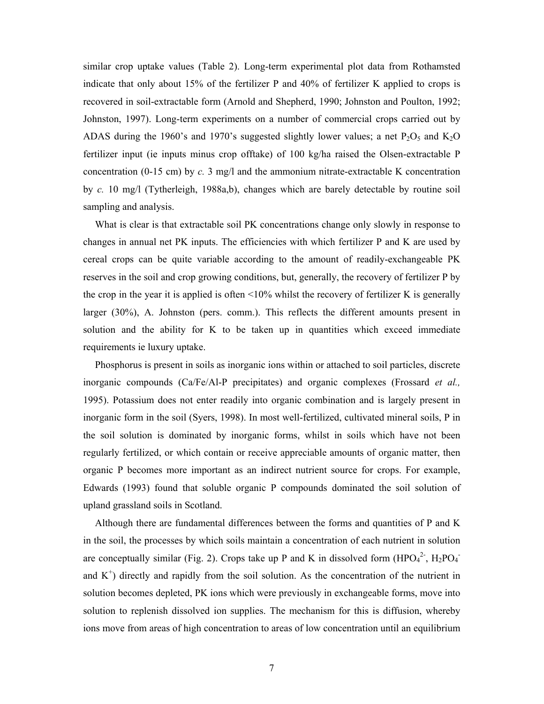similar crop uptake values (Table 2). Long-term experimental plot data from Rothamsted indicate that only about 15% of the fertilizer P and 40% of fertilizer K applied to crops is recovered in soil-extractable form (Arnold and Shepherd, 1990; Johnston and Poulton, 1992; Johnston, 1997). Long-term experiments on a number of commercial crops carried out by ADAS during the 1960's and 1970's suggested slightly lower values; a net  $P_2O_5$  and  $K_2O$ fertilizer input (ie inputs minus crop offtake) of 100 kg/ha raised the Olsen-extractable P concentration (0-15 cm) by  $c$ . 3 mg/l and the ammonium nitrate-extractable K concentration by *c.* 10 mg/l (Tytherleigh, 1988a,b), changes which are barely detectable by routine soil sampling and analysis.

 What is clear is that extractable soil PK concentrations change only slowly in response to changes in annual net PK inputs. The efficiencies with which fertilizer P and K are used by cereal crops can be quite variable according to the amount of readily-exchangeable PK reserves in the soil and crop growing conditions, but, generally, the recovery of fertilizer P by the crop in the year it is applied is often <10% whilst the recovery of fertilizer K is generally larger (30%), A. Johnston (pers. comm.). This reflects the different amounts present in solution and the ability for K to be taken up in quantities which exceed immediate requirements ie luxury uptake.

 Phosphorus is present in soils as inorganic ions within or attached to soil particles, discrete inorganic compounds (Ca/Fe/Al-P precipitates) and organic complexes (Frossard *et al.,* 1995). Potassium does not enter readily into organic combination and is largely present in inorganic form in the soil (Syers, 1998). In most well-fertilized, cultivated mineral soils, P in the soil solution is dominated by inorganic forms, whilst in soils which have not been regularly fertilized, or which contain or receive appreciable amounts of organic matter, then organic P becomes more important as an indirect nutrient source for crops. For example, Edwards (1993) found that soluble organic P compounds dominated the soil solution of upland grassland soils in Scotland.

 Although there are fundamental differences between the forms and quantities of P and K in the soil, the processes by which soils maintain a concentration of each nutrient in solution are conceptually similar (Fig. 2). Crops take up P and K in dissolved form  $(HPO<sub>4</sub><sup>2</sup>$ ,  $H<sub>2</sub>PO<sub>4</sub>$ and  $K^+$ ) directly and rapidly from the soil solution. As the concentration of the nutrient in solution becomes depleted, PK ions which were previously in exchangeable forms, move into solution to replenish dissolved ion supplies. The mechanism for this is diffusion, whereby ions move from areas of high concentration to areas of low concentration until an equilibrium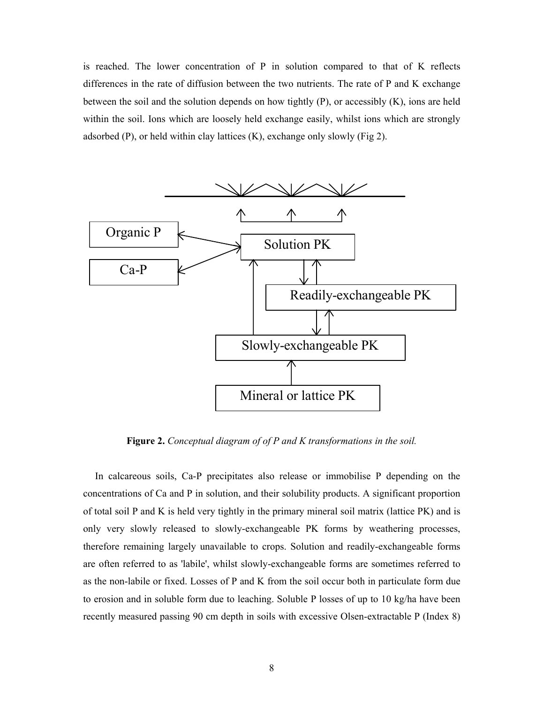is reached. The lower concentration of P in solution compared to that of K reflects differences in the rate of diffusion between the two nutrients. The rate of P and K exchange between the soil and the solution depends on how tightly (P), or accessibly (K), ions are held within the soil. Ions which are loosely held exchange easily, whilst ions which are strongly adsorbed (P), or held within clay lattices  $(K)$ , exchange only slowly (Fig 2).



**Figure 2.** *Conceptual diagram of of P and K transformations in the soil.* 

 In calcareous soils, Ca-P precipitates also release or immobilise P depending on the concentrations of Ca and P in solution, and their solubility products. A significant proportion of total soil P and K is held very tightly in the primary mineral soil matrix (lattice PK) and is only very slowly released to slowly-exchangeable PK forms by weathering processes, therefore remaining largely unavailable to crops. Solution and readily-exchangeable forms are often referred to as 'labile', whilst slowly-exchangeable forms are sometimes referred to as the non-labile or fixed. Losses of P and K from the soil occur both in particulate form due to erosion and in soluble form due to leaching. Soluble P losses of up to 10 kg/ha have been recently measured passing 90 cm depth in soils with excessive Olsen-extractable P (Index 8)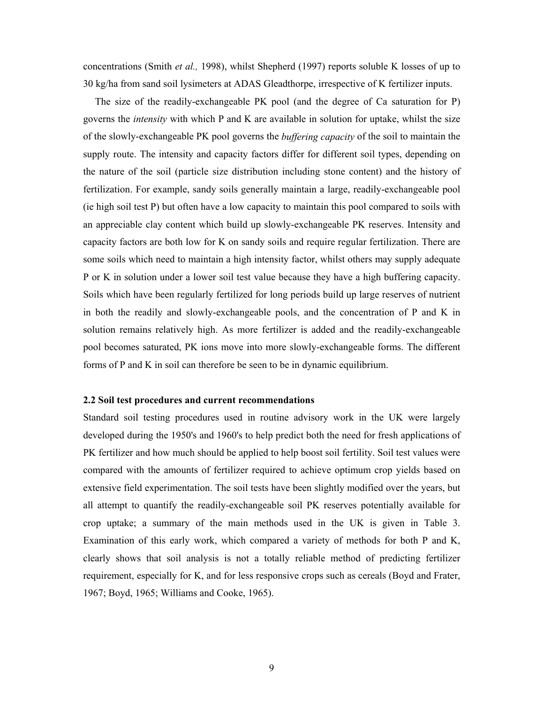concentrations (Smith *et al.,* 1998), whilst Shepherd (1997) reports soluble K losses of up to 30 kg/ha from sand soil lysimeters at ADAS Gleadthorpe, irrespective of K fertilizer inputs.

 The size of the readily-exchangeable PK pool (and the degree of Ca saturation for P) governs the *intensity* with which P and K are available in solution for uptake, whilst the size of the slowly-exchangeable PK pool governs the *buffering capacity* of the soil to maintain the supply route. The intensity and capacity factors differ for different soil types, depending on the nature of the soil (particle size distribution including stone content) and the history of fertilization. For example, sandy soils generally maintain a large, readily-exchangeable pool (ie high soil test P) but often have a low capacity to maintain this pool compared to soils with an appreciable clay content which build up slowly-exchangeable PK reserves. Intensity and capacity factors are both low for K on sandy soils and require regular fertilization. There are some soils which need to maintain a high intensity factor, whilst others may supply adequate P or K in solution under a lower soil test value because they have a high buffering capacity. Soils which have been regularly fertilized for long periods build up large reserves of nutrient in both the readily and slowly-exchangeable pools, and the concentration of P and K in solution remains relatively high. As more fertilizer is added and the readily-exchangeable pool becomes saturated, PK ions move into more slowly-exchangeable forms. The different forms of P and K in soil can therefore be seen to be in dynamic equilibrium.

# **2.2 Soil test procedures and current recommendations**

Standard soil testing procedures used in routine advisory work in the UK were largely developed during the 1950's and 1960's to help predict both the need for fresh applications of PK fertilizer and how much should be applied to help boost soil fertility. Soil test values were compared with the amounts of fertilizer required to achieve optimum crop yields based on extensive field experimentation. The soil tests have been slightly modified over the years, but all attempt to quantify the readily-exchangeable soil PK reserves potentially available for crop uptake; a summary of the main methods used in the UK is given in Table 3. Examination of this early work, which compared a variety of methods for both P and K, clearly shows that soil analysis is not a totally reliable method of predicting fertilizer requirement, especially for K, and for less responsive crops such as cereals (Boyd and Frater, 1967; Boyd, 1965; Williams and Cooke, 1965).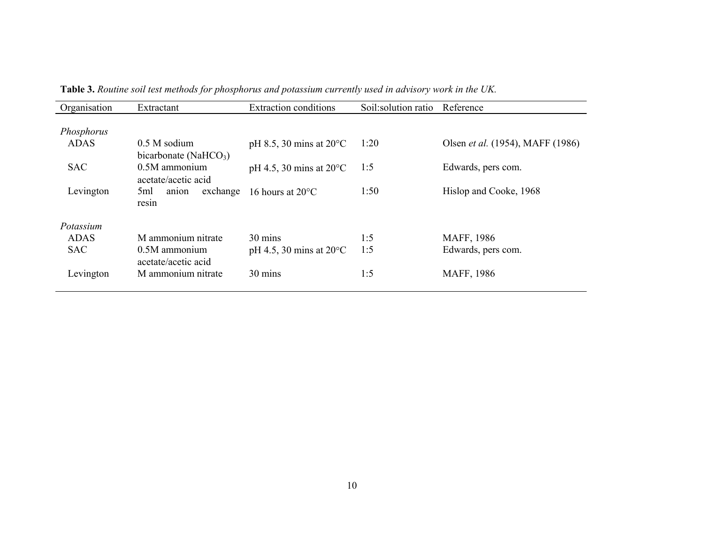| Organisation | Extractant                        | <b>Extraction conditions</b>      | Soil:solution ratio | Reference                               |
|--------------|-----------------------------------|-----------------------------------|---------------------|-----------------------------------------|
|              |                                   |                                   |                     |                                         |
| Phosphorus   |                                   |                                   |                     |                                         |
| <b>ADAS</b>  | $0.5 M$ sodium                    | pH 8.5, 30 mins at $20^{\circ}$ C | 1:20                | Olsen <i>et al.</i> (1954), MAFF (1986) |
|              | bicarbonate (NaHCO <sub>3</sub> ) |                                   |                     |                                         |
| <b>SAC</b>   | $0.5M$ ammonium                   | pH 4.5, 30 mins at $20^{\circ}$ C | 1:5                 | Edwards, pers com.                      |
|              | acetate/acetic acid               |                                   |                     |                                         |
| Levington    | exchange<br>5ml<br>anion          | 16 hours at $20^{\circ}$ C        | 1:50                | Hislop and Cooke, 1968                  |
|              | resin                             |                                   |                     |                                         |
| Potassium    |                                   |                                   |                     |                                         |
| <b>ADAS</b>  | M ammonium nitrate                | 30 mins                           | 1:5                 | MAFF, 1986                              |
| <b>SAC</b>   | $0.5M$ ammonium                   | pH 4.5, 30 mins at $20^{\circ}$ C | 1:5                 | Edwards, pers com.                      |
|              | acetate/acetic acid               |                                   |                     |                                         |
| Levington    | M ammonium nitrate                | 30 mins                           | 1:5                 | MAFF, 1986                              |
|              |                                   |                                   |                     |                                         |

**Table 3.** *Routine soil test methods for phosphorus and potassium currently used in advisory work in the UK.*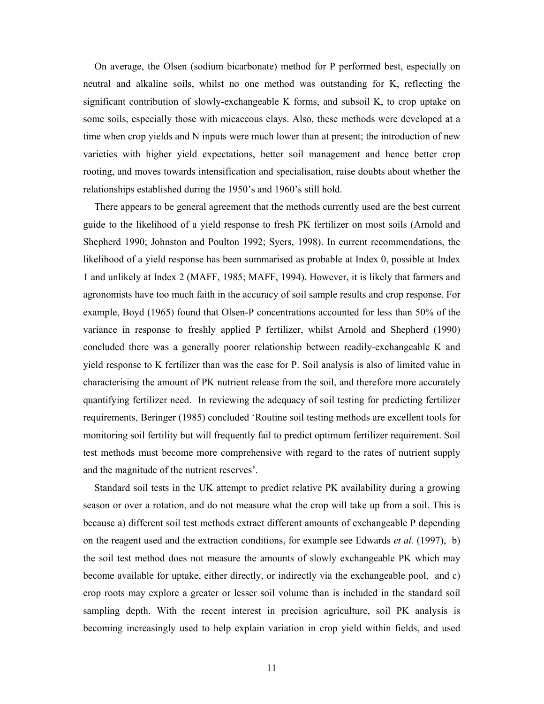On average, the Olsen (sodium bicarbonate) method for P performed best, especially on neutral and alkaline soils, whilst no one method was outstanding for K, reflecting the significant contribution of slowly-exchangeable K forms, and subsoil K, to crop uptake on some soils, especially those with micaceous clays. Also, these methods were developed at a time when crop yields and N inputs were much lower than at present; the introduction of new varieties with higher yield expectations, better soil management and hence better crop rooting, and moves towards intensification and specialisation, raise doubts about whether the relationships established during the 1950's and 1960's still hold.

 There appears to be general agreement that the methods currently used are the best current guide to the likelihood of a yield response to fresh PK fertilizer on most soils (Arnold and Shepherd 1990; Johnston and Poulton 1992; Syers, 1998). In current recommendations, the likelihood of a yield response has been summarised as probable at Index 0, possible at Index 1 and unlikely at Index 2 (MAFF, 1985; MAFF, 1994). However, it is likely that farmers and agronomists have too much faith in the accuracy of soil sample results and crop response. For example, Boyd (1965) found that Olsen-P concentrations accounted for less than 50% of the variance in response to freshly applied P fertilizer, whilst Arnold and Shepherd (1990) concluded there was a generally poorer relationship between readily-exchangeable K and yield response to K fertilizer than was the case for P. Soil analysis is also of limited value in characterising the amount of PK nutrient release from the soil, and therefore more accurately quantifying fertilizer need. In reviewing the adequacy of soil testing for predicting fertilizer requirements, Beringer (1985) concluded 'Routine soil testing methods are excellent tools for monitoring soil fertility but will frequently fail to predict optimum fertilizer requirement. Soil test methods must become more comprehensive with regard to the rates of nutrient supply and the magnitude of the nutrient reserves'.

 Standard soil tests in the UK attempt to predict relative PK availability during a growing season or over a rotation, and do not measure what the crop will take up from a soil. This is because a) different soil test methods extract different amounts of exchangeable P depending on the reagent used and the extraction conditions, for example see Edwards *et al.* (1997), b) the soil test method does not measure the amounts of slowly exchangeable PK which may become available for uptake, either directly, or indirectly via the exchangeable pool, and c) crop roots may explore a greater or lesser soil volume than is included in the standard soil sampling depth. With the recent interest in precision agriculture, soil PK analysis is becoming increasingly used to help explain variation in crop yield within fields, and used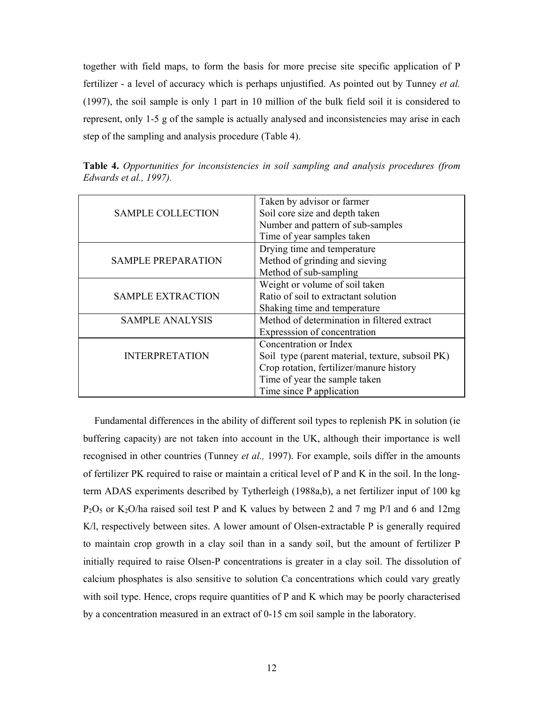together with field maps, to form the basis for more precise site specific application of P fertilizer - a level of accuracy which is perhaps unjustified. As pointed out by Tunney *et al.* (1997), the soil sample is only 1 part in 10 million of the bulk field soil it is considered to represent, only 1-5 g of the sample is actually analysed and inconsistencies may arise in each step of the sampling and analysis procedure (Table 4).

| Taken by advisor or farmer<br><b>SAMPLE COLLECTION</b><br>Soil core size and depth taken<br>Number and pattern of sub-samples<br>Time of year samples taken<br>Drying time and temperature<br>Method of grinding and sieving<br><b>SAMPLE PREPARATION</b><br>Method of sub-sampling<br>Weight or volume of soil taken<br><b>SAMPLE EXTRACTION</b><br>Ratio of soil to extractant solution<br>Shaking time and temperature<br>Method of determination in filtered extract<br><b>SAMPLE ANALYSIS</b><br>Expresssion of concentration<br>Concentration or Index<br><b>INTERPRETATION</b><br>Soil type (parent material, texture, subsoil PK)<br>Crop rotation, fertilizer/manure history<br>Time of year the sample taken<br>Time since P application |  |
|----------------------------------------------------------------------------------------------------------------------------------------------------------------------------------------------------------------------------------------------------------------------------------------------------------------------------------------------------------------------------------------------------------------------------------------------------------------------------------------------------------------------------------------------------------------------------------------------------------------------------------------------------------------------------------------------------------------------------------------------------|--|
|                                                                                                                                                                                                                                                                                                                                                                                                                                                                                                                                                                                                                                                                                                                                                    |  |
|                                                                                                                                                                                                                                                                                                                                                                                                                                                                                                                                                                                                                                                                                                                                                    |  |
|                                                                                                                                                                                                                                                                                                                                                                                                                                                                                                                                                                                                                                                                                                                                                    |  |
|                                                                                                                                                                                                                                                                                                                                                                                                                                                                                                                                                                                                                                                                                                                                                    |  |
|                                                                                                                                                                                                                                                                                                                                                                                                                                                                                                                                                                                                                                                                                                                                                    |  |
|                                                                                                                                                                                                                                                                                                                                                                                                                                                                                                                                                                                                                                                                                                                                                    |  |
|                                                                                                                                                                                                                                                                                                                                                                                                                                                                                                                                                                                                                                                                                                                                                    |  |
|                                                                                                                                                                                                                                                                                                                                                                                                                                                                                                                                                                                                                                                                                                                                                    |  |
|                                                                                                                                                                                                                                                                                                                                                                                                                                                                                                                                                                                                                                                                                                                                                    |  |
|                                                                                                                                                                                                                                                                                                                                                                                                                                                                                                                                                                                                                                                                                                                                                    |  |
|                                                                                                                                                                                                                                                                                                                                                                                                                                                                                                                                                                                                                                                                                                                                                    |  |
|                                                                                                                                                                                                                                                                                                                                                                                                                                                                                                                                                                                                                                                                                                                                                    |  |
|                                                                                                                                                                                                                                                                                                                                                                                                                                                                                                                                                                                                                                                                                                                                                    |  |
|                                                                                                                                                                                                                                                                                                                                                                                                                                                                                                                                                                                                                                                                                                                                                    |  |
|                                                                                                                                                                                                                                                                                                                                                                                                                                                                                                                                                                                                                                                                                                                                                    |  |
|                                                                                                                                                                                                                                                                                                                                                                                                                                                                                                                                                                                                                                                                                                                                                    |  |
|                                                                                                                                                                                                                                                                                                                                                                                                                                                                                                                                                                                                                                                                                                                                                    |  |

**Table 4.** *Opportunities for inconsistencies in soil sampling and analysis procedures (from Edwards et al., 1997).*

 Fundamental differences in the ability of different soil types to replenish PK in solution (ie buffering capacity) are not taken into account in the UK, although their importance is well recognised in other countries (Tunney *et al.,* 1997). For example, soils differ in the amounts of fertilizer PK required to raise or maintain a critical level of P and K in the soil. In the longterm ADAS experiments described by Tytherleigh (1988a,b), a net fertilizer input of 100 kg  $P_2O_5$  or K<sub>2</sub>O/ha raised soil test P and K values by between 2 and 7 mg P/l and 6 and 12mg K/l, respectively between sites. A lower amount of Olsen-extractable P is generally required to maintain crop growth in a clay soil than in a sandy soil, but the amount of fertilizer P initially required to raise Olsen-P concentrations is greater in a clay soil. The dissolution of calcium phosphates is also sensitive to solution Ca concentrations which could vary greatly with soil type. Hence, crops require quantities of P and K which may be poorly characterised by a concentration measured in an extract of 0-15 cm soil sample in the laboratory.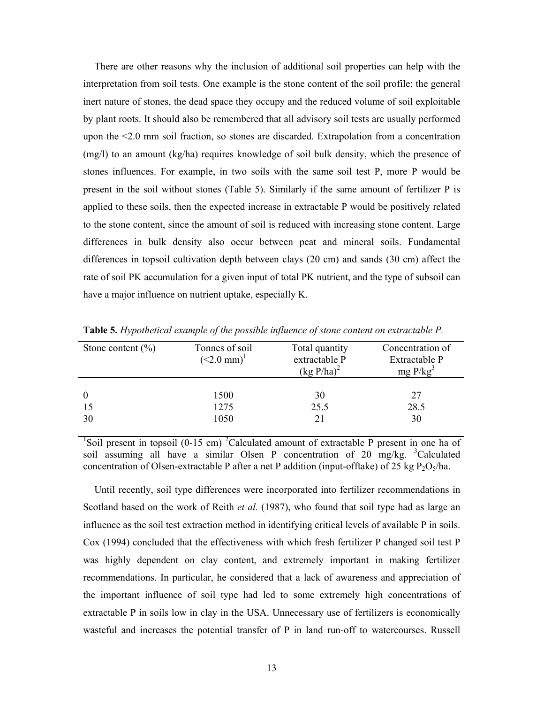There are other reasons why the inclusion of additional soil properties can help with the interpretation from soil tests. One example is the stone content of the soil profile; the general inert nature of stones, the dead space they occupy and the reduced volume of soil exploitable by plant roots. It should also be remembered that all advisory soil tests are usually performed upon the <2.0 mm soil fraction, so stones are discarded. Extrapolation from a concentration (mg/l) to an amount (kg/ha) requires knowledge of soil bulk density, which the presence of stones influences. For example, in two soils with the same soil test P, more P would be present in the soil without stones (Table 5). Similarly if the same amount of fertilizer P is applied to these soils, then the expected increase in extractable P would be positively related to the stone content, since the amount of soil is reduced with increasing stone content. Large differences in bulk density also occur between peat and mineral soils. Fundamental differences in topsoil cultivation depth between clays (20 cm) and sands (30 cm) affect the rate of soil PK accumulation for a given input of total PK nutrient, and the type of subsoil can have a major influence on nutrient uptake, especially K.

| Stone content $(\% )$ | Tonnes of soil<br>$(<2.0$ mm) <sup>1</sup> | Total quantity<br>extractable P<br>$(kg P/ha)^2$ | Concentration of<br>Extractable P<br>mg P/kg <sup>3</sup> |
|-----------------------|--------------------------------------------|--------------------------------------------------|-----------------------------------------------------------|
| $\theta$<br>30        | 1500<br>1275<br>1050                       | 30<br>25.5                                       | 27<br>28.5<br>30                                          |

**Table 5.** *Hypothetical example of the possible influence of stone content on extractable P.*

<sup>1</sup>Soil present in topsoil (0-15 cm) <sup>2</sup>Calculated amount of extractable P present in one ha of soil assuming all have a similar Olsen P concentration of 20 mg/kg. <sup>3</sup>Calculated concentration of Olsen-extractable P after a net P addition (input-offtake) of 25 kg  $P_2O_5/ha$ .

 Until recently, soil type differences were incorporated into fertilizer recommendations in Scotland based on the work of Reith *et al.* (1987), who found that soil type had as large an influence as the soil test extraction method in identifying critical levels of available P in soils. Cox (1994) concluded that the effectiveness with which fresh fertilizer P changed soil test P was highly dependent on clay content, and extremely important in making fertilizer recommendations. In particular, he considered that a lack of awareness and appreciation of the important influence of soil type had led to some extremely high concentrations of extractable P in soils low in clay in the USA. Unnecessary use of fertilizers is economically wasteful and increases the potential transfer of P in land run-off to watercourses. Russell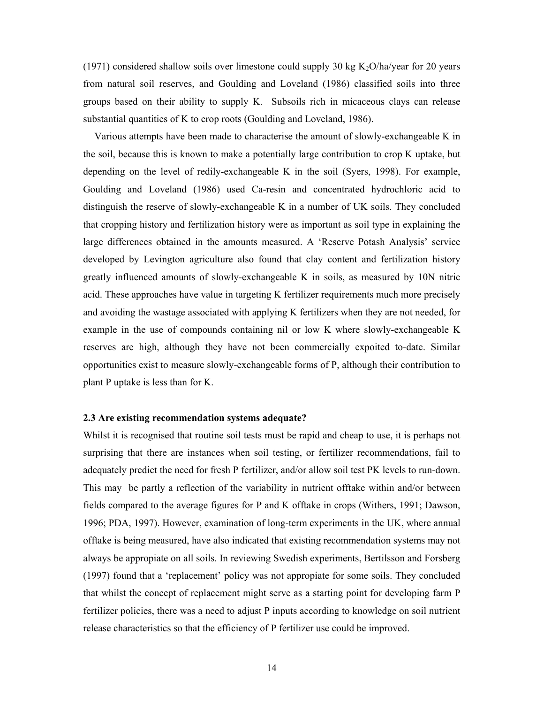(1971) considered shallow soils over limestone could supply 30 kg  $K_2O/ha/year$  for 20 years from natural soil reserves, and Goulding and Loveland (1986) classified soils into three groups based on their ability to supply K. Subsoils rich in micaceous clays can release substantial quantities of K to crop roots (Goulding and Loveland, 1986).

 Various attempts have been made to characterise the amount of slowly-exchangeable K in the soil, because this is known to make a potentially large contribution to crop K uptake, but depending on the level of redily-exchangeable K in the soil (Syers, 1998). For example, Goulding and Loveland (1986) used Ca-resin and concentrated hydrochloric acid to distinguish the reserve of slowly-exchangeable K in a number of UK soils. They concluded that cropping history and fertilization history were as important as soil type in explaining the large differences obtained in the amounts measured. A 'Reserve Potash Analysis' service developed by Levington agriculture also found that clay content and fertilization history greatly influenced amounts of slowly-exchangeable K in soils, as measured by 10N nitric acid. These approaches have value in targeting K fertilizer requirements much more precisely and avoiding the wastage associated with applying K fertilizers when they are not needed, for example in the use of compounds containing nil or low K where slowly-exchangeable K reserves are high, although they have not been commercially expoited to-date. Similar opportunities exist to measure slowly-exchangeable forms of P, although their contribution to plant P uptake is less than for K.

#### **2.3 Are existing recommendation systems adequate?**

Whilst it is recognised that routine soil tests must be rapid and cheap to use, it is perhaps not surprising that there are instances when soil testing, or fertilizer recommendations, fail to adequately predict the need for fresh P fertilizer, and/or allow soil test PK levels to run-down. This may be partly a reflection of the variability in nutrient offtake within and/or between fields compared to the average figures for P and K offtake in crops (Withers, 1991; Dawson, 1996; PDA, 1997). However, examination of long-term experiments in the UK, where annual offtake is being measured, have also indicated that existing recommendation systems may not always be appropiate on all soils. In reviewing Swedish experiments, Bertilsson and Forsberg (1997) found that a 'replacement' policy was not appropiate for some soils. They concluded that whilst the concept of replacement might serve as a starting point for developing farm P fertilizer policies, there was a need to adjust P inputs according to knowledge on soil nutrient release characteristics so that the efficiency of P fertilizer use could be improved.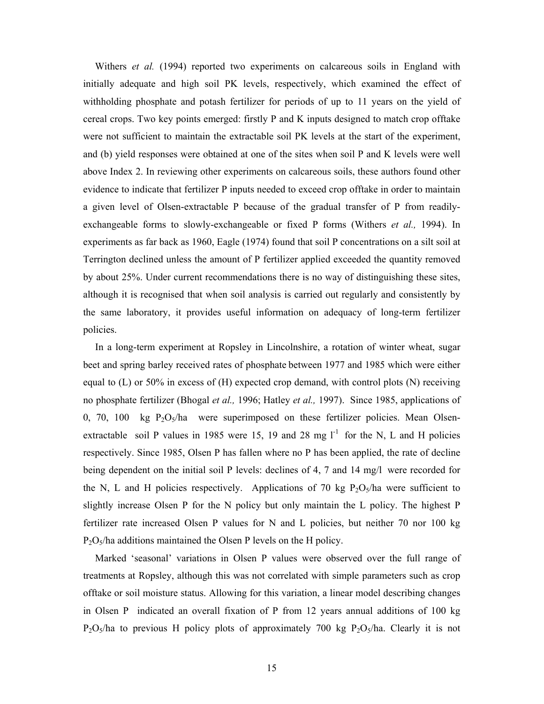Withers *et al.* (1994) reported two experiments on calcareous soils in England with initially adequate and high soil PK levels, respectively, which examined the effect of withholding phosphate and potash fertilizer for periods of up to 11 years on the yield of cereal crops. Two key points emerged: firstly P and K inputs designed to match crop offtake were not sufficient to maintain the extractable soil PK levels at the start of the experiment, and (b) yield responses were obtained at one of the sites when soil P and K levels were well above Index 2. In reviewing other experiments on calcareous soils, these authors found other evidence to indicate that fertilizer P inputs needed to exceed crop offtake in order to maintain a given level of Olsen-extractable P because of the gradual transfer of P from readilyexchangeable forms to slowly-exchangeable or fixed P forms (Withers *et al.,* 1994). In experiments as far back as 1960, Eagle (1974) found that soil P concentrations on a silt soil at Terrington declined unless the amount of P fertilizer applied exceeded the quantity removed by about 25%. Under current recommendations there is no way of distinguishing these sites, although it is recognised that when soil analysis is carried out regularly and consistently by the same laboratory, it provides useful information on adequacy of long-term fertilizer policies.

In a long-term experiment at Ropsley in Lincolnshire, a rotation of winter wheat, sugar beet and spring barley received rates of phosphate between 1977 and 1985 which were either equal to  $(L)$  or 50% in excess of  $(H)$  expected crop demand, with control plots  $(N)$  receiving no phosphate fertilizer (Bhogal *et al.,* 1996; Hatley *et al.,* 1997). Since 1985, applications of 0, 70, 100 kg  $P_2O_5/ha$  were superimposed on these fertilizer policies. Mean Olsenextractable soil P values in 1985 were 15, 19 and 28 mg  $l^{-1}$  for the N, L and H policies respectively. Since 1985, Olsen P has fallen where no P has been applied, the rate of decline being dependent on the initial soil P levels: declines of 4, 7 and 14 mg/l were recorded for the N, L and H policies respectively. Applications of 70 kg  $P_2O_5/ha$  were sufficient to slightly increase Olsen P for the N policy but only maintain the L policy. The highest P fertilizer rate increased Olsen P values for N and L policies, but neither 70 nor 100 kg  $P_2O_5$ /ha additions maintained the Olsen P levels on the H policy.

Marked 'seasonal' variations in Olsen P values were observed over the full range of treatments at Ropsley, although this was not correlated with simple parameters such as crop offtake or soil moisture status. Allowing for this variation, a linear model describing changes in Olsen P indicated an overall fixation of P from 12 years annual additions of 100 kg  $P_2O_5/ha$  to previous H policy plots of approximately 700 kg  $P_2O_5/ha$ . Clearly it is not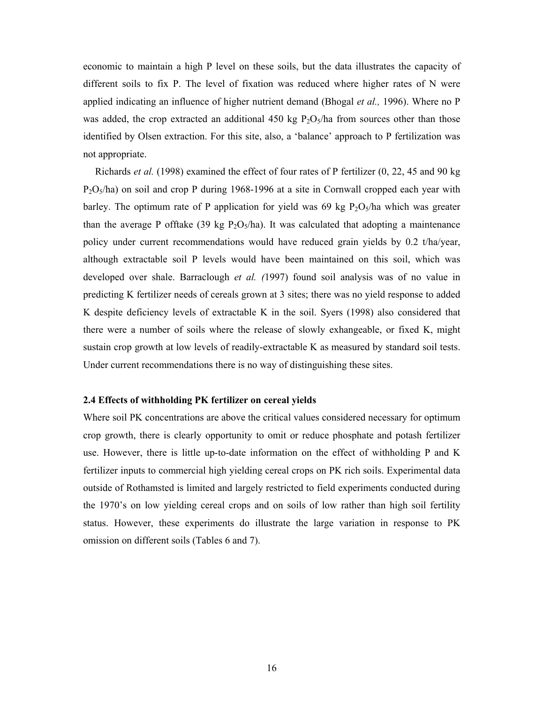economic to maintain a high P level on these soils, but the data illustrates the capacity of different soils to fix P. The level of fixation was reduced where higher rates of N were applied indicating an influence of higher nutrient demand (Bhogal *et al.,* 1996). Where no P was added, the crop extracted an additional 450 kg  $P_2O_5/h$ a from sources other than those identified by Olsen extraction. For this site, also, a 'balance' approach to P fertilization was not appropriate.

Richards *et al.* (1998) examined the effect of four rates of P fertilizer (0, 22, 45 and 90 kg  $P_2O_5/ha$ ) on soil and crop P during 1968-1996 at a site in Cornwall cropped each year with barley. The optimum rate of P application for yield was 69 kg  $P_2O_5/ha$  which was greater than the average P offtake (39 kg  $P_2O_5/ha$ ). It was calculated that adopting a maintenance policy under current recommendations would have reduced grain yields by 0.2 t/ha/year, although extractable soil P levels would have been maintained on this soil, which was developed over shale. Barraclough *et al. (*1997) found soil analysis was of no value in predicting K fertilizer needs of cereals grown at 3 sites; there was no yield response to added K despite deficiency levels of extractable K in the soil. Syers (1998) also considered that there were a number of soils where the release of slowly exhangeable, or fixed K, might sustain crop growth at low levels of readily-extractable K as measured by standard soil tests. Under current recommendations there is no way of distinguishing these sites.

# **2.4 Effects of withholding PK fertilizer on cereal yields**

Where soil PK concentrations are above the critical values considered necessary for optimum crop growth, there is clearly opportunity to omit or reduce phosphate and potash fertilizer use. However, there is little up-to-date information on the effect of withholding P and K fertilizer inputs to commercial high yielding cereal crops on PK rich soils. Experimental data outside of Rothamsted is limited and largely restricted to field experiments conducted during the 1970's on low yielding cereal crops and on soils of low rather than high soil fertility status. However, these experiments do illustrate the large variation in response to PK omission on different soils (Tables 6 and 7).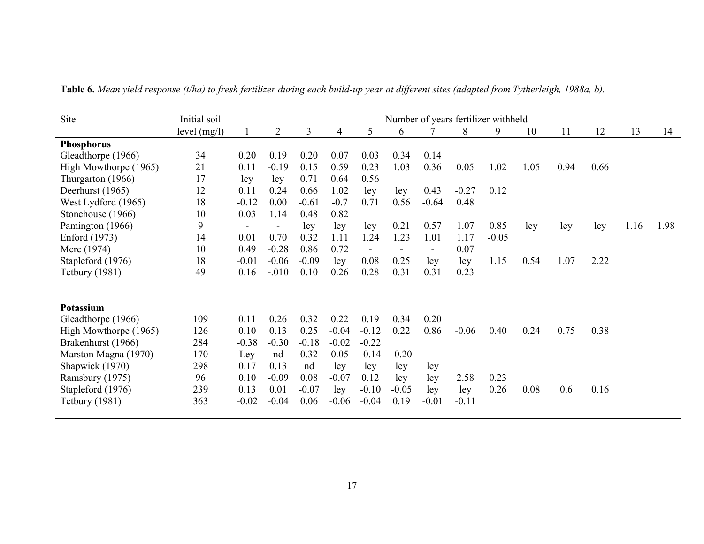| Site                  | Initial soil |                |                |         |                |                |         |                |         | Number of years fertilizer withheld |      |      |      |      |      |
|-----------------------|--------------|----------------|----------------|---------|----------------|----------------|---------|----------------|---------|-------------------------------------|------|------|------|------|------|
|                       | level (mg/l) |                | $\overline{2}$ | 3       | $\overline{4}$ | 5              | 6       |                | 8       | 9                                   | 10   | 11   | 12   | 13   | 14   |
| <b>Phosphorus</b>     |              |                |                |         |                |                |         |                |         |                                     |      |      |      |      |      |
| Gleadthorpe (1966)    | 34           | 0.20           | 0.19           | 0.20    | 0.07           | 0.03           | 0.34    | 0.14           |         |                                     |      |      |      |      |      |
| High Mowthorpe (1965) | 21           | 0.11           | $-0.19$        | 0.15    | 0.59           | 0.23           | 1.03    | 0.36           | 0.05    | 1.02                                | 1.05 | 0.94 | 0.66 |      |      |
| Thurgarton (1966)     | 17           | ley            | ley            | 0.71    | 0.64           | 0.56           |         |                |         |                                     |      |      |      |      |      |
| Deerhurst (1965)      | 12           | 0.11           | 0.24           | 0.66    | 1.02           | ley            | ley     | 0.43           | $-0.27$ | 0.12                                |      |      |      |      |      |
| West Lydford (1965)   | 18           | $-0.12$        | 0.00           | $-0.61$ | $-0.7$         | 0.71           | 0.56    | $-0.64$        | 0.48    |                                     |      |      |      |      |      |
| Stonehouse (1966)     | 10           | 0.03           | 1.14           | 0.48    | 0.82           |                |         |                |         |                                     |      |      |      |      |      |
| Pamington (1966)      | 9            | $\blacksquare$ |                | ley     | ley            | ley            | 0.21    | 0.57           | 1.07    | 0.85                                | ley  | ley  | ley  | 1.16 | 1.98 |
| Enford (1973)         | 14           | 0.01           | 0.70           | 0.32    | 1.11           | 1.24           | 1.23    | 1.01           | 1.17    | $-0.05$                             |      |      |      |      |      |
| Mere (1974)           | 10           | 0.49           | $-0.28$        | 0.86    | 0.72           | $\blacksquare$ |         | $\blacksquare$ | 0.07    |                                     |      |      |      |      |      |
| Stapleford (1976)     | 18           | $-0.01$        | $-0.06$        | $-0.09$ | ley            | 0.08           | 0.25    | ley            | ley     | 1.15                                | 0.54 | 1.07 | 2.22 |      |      |
| <b>Tetbury</b> (1981) | 49           | 0.16           | $-.010$        | 0.10    | 0.26           | 0.28           | 0.31    | 0.31           | 0.23    |                                     |      |      |      |      |      |
|                       |              |                |                |         |                |                |         |                |         |                                     |      |      |      |      |      |
| <b>Potassium</b>      |              |                |                |         |                |                |         |                |         |                                     |      |      |      |      |      |
| Gleadthorpe (1966)    | 109          | 0.11           | 0.26           | 0.32    | 0.22           | 0.19           | 0.34    | 0.20           |         |                                     |      |      |      |      |      |
| High Mowthorpe (1965) | 126          | 0.10           | 0.13           | 0.25    | $-0.04$        | $-0.12$        | 0.22    | 0.86           | $-0.06$ | 0.40                                | 0.24 | 0.75 | 0.38 |      |      |
| Brakenhurst (1966)    | 284          | $-0.38$        | $-0.30$        | $-0.18$ | $-0.02$        | $-0.22$        |         |                |         |                                     |      |      |      |      |      |
| Marston Magna (1970)  | 170          | Ley            | nd             | 0.32    | 0.05           | $-0.14$        | $-0.20$ |                |         |                                     |      |      |      |      |      |
| Shapwick (1970)       | 298          | 0.17           | 0.13           | nd      | ley            | ley            | ley     | ley            |         |                                     |      |      |      |      |      |
| Ramsbury (1975)       | 96           | 0.10           | $-0.09$        | 0.08    | $-0.07$        | 0.12           | ley     | ley            | 2.58    | 0.23                                |      |      |      |      |      |
| Stapleford (1976)     | 239          | 0.13           | 0.01           | $-0.07$ | ley            | $-0.10$        | $-0.05$ | ley            | ley     | 0.26                                | 0.08 | 0.6  | 0.16 |      |      |
| <b>Tetbury</b> (1981) | 363          | $-0.02$        | $-0.04$        | 0.06    | $-0.06$        | $-0.04$        | 0.19    | $-0.01$        | $-0.11$ |                                     |      |      |      |      |      |

**Table 6.** *Mean yield response (t/ha) to fresh fertilizer during each build-up year at different sites (adapted from Tytherleigh, 1988a, b).*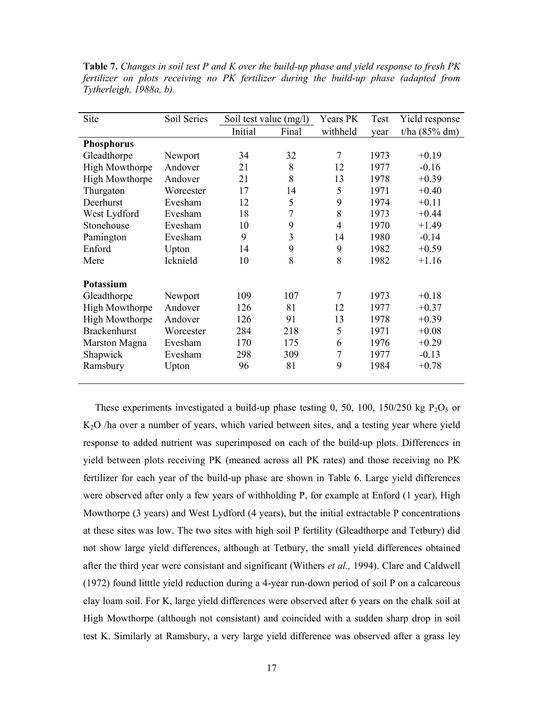**Table 7.** *Changes in soil test P and K over the build-up phase and yield response to fresh PK fertilizer on plots receiving no PK fertilizer during the build-up phase (adapted from Tytherleigh, 1988a, b).* 

| Site                  | Soil Series | Soil test value (mg/l) |       | Years PK       | Test | Yield response  |
|-----------------------|-------------|------------------------|-------|----------------|------|-----------------|
|                       |             | Initial                | Final | withheld       | year | $t/ha$ (85% dm) |
| <b>Phosphorus</b>     |             |                        |       |                |      |                 |
| Gleadthorpe           | Newport     | 34                     | 32    | 7              | 1973 | $+0.19$         |
| High Mowthorpe        | Andover     | 21                     | 8     | 12             | 1977 | $-0.16$         |
| <b>High Mowthorpe</b> | Andover     | 21                     | 8     | 13             | 1978 | $+0.39$         |
| Thurgaton             | Worcester   | 17                     | 14    | 5              | 1971 | $+0.40$         |
| Deerhurst             | Evesham     | 12                     | 5     | 9              | 1974 | $+0.11$         |
| West Lydford          | Evesham     | 18                     | 7     | 8              | 1973 | $+0.44$         |
| Stonehouse            | Evesham     | 10                     | 9     | $\overline{4}$ | 1970 | $+1.49$         |
| Pamington             | Evesham     | 9                      | 3     | 14             | 1980 | $-0.14$         |
| Enford                | Upton       | 14                     | 9     | 9              | 1982 | $+0.59$         |
| Mere                  | Icknield    | 10                     | 8     | 8              | 1982 | $+1.16$         |
| Potassium             |             |                        |       |                |      |                 |
| Gleadthorpe           | Newport     | 109                    | 107   | 7              | 1973 | $+0.18$         |
| <b>High Mowthorpe</b> | Andover     | 126                    | 81    | 12             | 1977 | $+0.37$         |
| <b>High Mowthorpe</b> | Andover     | 126                    | 91    | 13             | 1978 | $+0.39$         |
| <b>Brackenhurst</b>   | Worcester   | 284                    | 218   | 5              | 1971 | $+0.08$         |
| Marston Magna         | Evesham     | 170                    | 175   | 6              | 1976 | $+0.29$         |
| Shapwick              | Evesham     | 298                    | 309   | 7              | 1977 | $-0.13$         |
| Ramsbury              | Upton       | 96                     | 81    | 9              | 1984 | $+0.78$         |
|                       |             |                        |       |                |      |                 |

These experiments investigated a build-up phase testing 0, 50, 100, 150/250 kg P<sub>2</sub>O<sub>5</sub> or K2O /ha over a number of years, which varied between sites, and a testing year where yield response to added nutrient was superimposed on each of the build-up plots. Differences in yield between plots receiving PK (meaned across all PK rates) and those receiving no PK fertilizer for each year of the build-up phase are shown in Table 6. Large yield differences were observed after only a few years of withholding P, for example at Enford (1 year), High Mowthorpe (3 years) and West Lydford (4 years), but the initial extractable P concentrations at these sites was low. The two sites with high soil P fertility (Gleadthorpe and Tetbury) did not show large yield differences, although at Tetbury, the small yield differences obtained after the third year were consistant and significant (Withers *et al.,* 1994). Clare and Caldwell (1972) found litttle yield reduction during a 4-year run-down period of soil P on a calcareous clay loam soil. For K, large yield differences were observed after 6 years on the chalk soil at High Mowthorpe (although not consistant) and coincided with a sudden sharp drop in soil test K. Similarly at Ramsbury, a very large yield difference was observed after a grass ley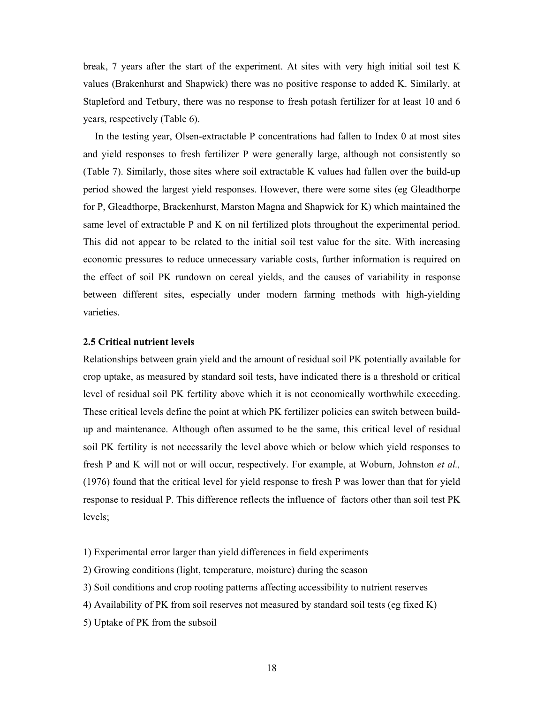break, 7 years after the start of the experiment. At sites with very high initial soil test K values (Brakenhurst and Shapwick) there was no positive response to added K. Similarly, at Stapleford and Tetbury, there was no response to fresh potash fertilizer for at least 10 and 6 years, respectively (Table 6).

 In the testing year, Olsen-extractable P concentrations had fallen to Index 0 at most sites and yield responses to fresh fertilizer P were generally large, although not consistently so (Table 7). Similarly, those sites where soil extractable K values had fallen over the build-up period showed the largest yield responses. However, there were some sites (eg Gleadthorpe for P, Gleadthorpe, Brackenhurst, Marston Magna and Shapwick for K) which maintained the same level of extractable P and K on nil fertilized plots throughout the experimental period. This did not appear to be related to the initial soil test value for the site. With increasing economic pressures to reduce unnecessary variable costs, further information is required on the effect of soil PK rundown on cereal yields, and the causes of variability in response between different sites, especially under modern farming methods with high-yielding varieties.

# **2.5 Critical nutrient levels**

Relationships between grain yield and the amount of residual soil PK potentially available for crop uptake, as measured by standard soil tests, have indicated there is a threshold or critical level of residual soil PK fertility above which it is not economically worthwhile exceeding. These critical levels define the point at which PK fertilizer policies can switch between buildup and maintenance. Although often assumed to be the same, this critical level of residual soil PK fertility is not necessarily the level above which or below which yield responses to fresh P and K will not or will occur, respectively. For example, at Woburn, Johnston *et al.,* (1976) found that the critical level for yield response to fresh P was lower than that for yield response to residual P. This difference reflects the influence of factors other than soil test PK levels;

- 1) Experimental error larger than yield differences in field experiments
- 2) Growing conditions (light, temperature, moisture) during the season
- 3) Soil conditions and crop rooting patterns affecting accessibility to nutrient reserves
- 4) Availability of PK from soil reserves not measured by standard soil tests (eg fixed K)
- 5) Uptake of PK from the subsoil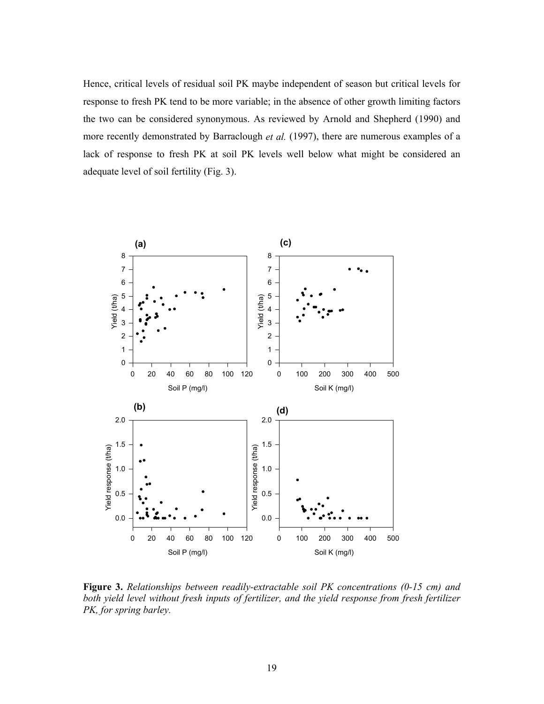Hence, critical levels of residual soil PK maybe independent of season but critical levels for response to fresh PK tend to be more variable; in the absence of other growth limiting factors the two can be considered synonymous. As reviewed by Arnold and Shepherd (1990) and more recently demonstrated by Barraclough *et al.* (1997), there are numerous examples of a lack of response to fresh PK at soil PK levels well below what might be considered an adequate level of soil fertility (Fig. 3).



**Figure 3.** *Relationships between readily-extractable soil PK concentrations (0-15 cm) and both yield level without fresh inputs of fertilizer, and the yield response from fresh fertilizer PK, for spring barley.*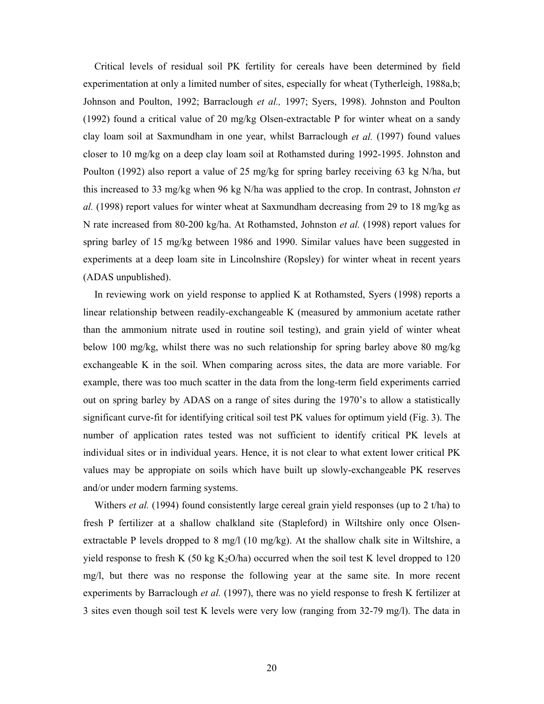Critical levels of residual soil PK fertility for cereals have been determined by field experimentation at only a limited number of sites, especially for wheat (Tytherleigh, 1988a,b; Johnson and Poulton, 1992; Barraclough *et al.,* 1997; Syers, 1998). Johnston and Poulton (1992) found a critical value of 20 mg/kg Olsen-extractable P for winter wheat on a sandy clay loam soil at Saxmundham in one year, whilst Barraclough *et al.* (1997) found values closer to 10 mg/kg on a deep clay loam soil at Rothamsted during 1992-1995. Johnston and Poulton (1992) also report a value of 25 mg/kg for spring barley receiving 63 kg N/ha, but this increased to 33 mg/kg when 96 kg N/ha was applied to the crop. In contrast, Johnston *et al.* (1998) report values for winter wheat at Saxmundham decreasing from 29 to 18 mg/kg as N rate increased from 80-200 kg/ha. At Rothamsted, Johnston *et al.* (1998) report values for spring barley of 15 mg/kg between 1986 and 1990. Similar values have been suggested in experiments at a deep loam site in Lincolnshire (Ropsley) for winter wheat in recent years (ADAS unpublished).

 In reviewing work on yield response to applied K at Rothamsted, Syers (1998) reports a linear relationship between readily-exchangeable K (measured by ammonium acetate rather than the ammonium nitrate used in routine soil testing), and grain yield of winter wheat below 100 mg/kg, whilst there was no such relationship for spring barley above 80 mg/kg exchangeable K in the soil. When comparing across sites, the data are more variable. For example, there was too much scatter in the data from the long-term field experiments carried out on spring barley by ADAS on a range of sites during the 1970's to allow a statistically significant curve-fit for identifying critical soil test PK values for optimum yield (Fig. 3). The number of application rates tested was not sufficient to identify critical PK levels at individual sites or in individual years. Hence, it is not clear to what extent lower critical PK values may be appropiate on soils which have built up slowly-exchangeable PK reserves and/or under modern farming systems.

Withers *et al.* (1994) found consistently large cereal grain yield responses (up to 2 t/ha) to fresh P fertilizer at a shallow chalkland site (Stapleford) in Wiltshire only once Olsenextractable P levels dropped to 8 mg/l (10 mg/kg). At the shallow chalk site in Wiltshire, a yield response to fresh K (50 kg  $K_2O/ha$ ) occurred when the soil test K level dropped to 120 mg/l, but there was no response the following year at the same site. In more recent experiments by Barraclough *et al.* (1997), there was no yield response to fresh K fertilizer at 3 sites even though soil test K levels were very low (ranging from 32-79 mg/l). The data in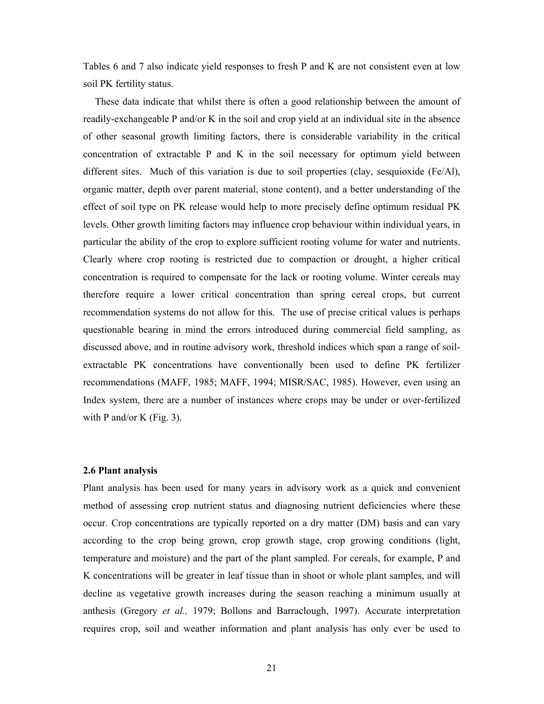Tables 6 and 7 also indicate yield responses to fresh P and K are not consistent even at low soil PK fertility status.

 These data indicate that whilst there is often a good relationship between the amount of readily-exchangeable P and/or K in the soil and crop yield at an individual site in the absence of other seasonal growth limiting factors, there is considerable variability in the critical concentration of extractable P and K in the soil necessary for optimum yield between different sites. Much of this variation is due to soil properties (clay, sesquioxide (Fe/Al), organic matter, depth over parent material, stone content), and a better understanding of the effect of soil type on PK release would help to more precisely define optimum residual PK levels. Other growth limiting factors may influence crop behaviour within individual years, in particular the ability of the crop to explore sufficient rooting volume for water and nutrients. Clearly where crop rooting is restricted due to compaction or drought, a higher critical concentration is required to compensate for the lack or rooting volume. Winter cereals may therefore require a lower critical concentration than spring cereal crops, but current recommendation systems do not allow for this. The use of precise critical values is perhaps questionable bearing in mind the errors introduced during commercial field sampling, as discussed above, and in routine advisory work, threshold indices which span a range of soilextractable PK concentrations have conventionally been used to define PK fertilizer recommendations (MAFF, 1985; MAFF, 1994; MISR/SAC, 1985). However, even using an Index system, there are a number of instances where crops may be under or over-fertilized with P and/or K (Fig. 3).

### **2.6 Plant analysis**

Plant analysis has been used for many years in advisory work as a quick and convenient method of assessing crop nutrient status and diagnosing nutrient deficiencies where these occur. Crop concentrations are typically reported on a dry matter (DM) basis and can vary according to the crop being grown, crop growth stage, crop growing conditions (light, temperature and moisture) and the part of the plant sampled. For cereals, for example, P and K concentrations will be greater in leaf tissue than in shoot or whole plant samples, and will decline as vegetative growth increases during the season reaching a minimum usually at anthesis (Gregory *et al.,* 1979; Bollons and Barraclough, 1997). Accurate interpretation requires crop, soil and weather information and plant analysis has only ever be used to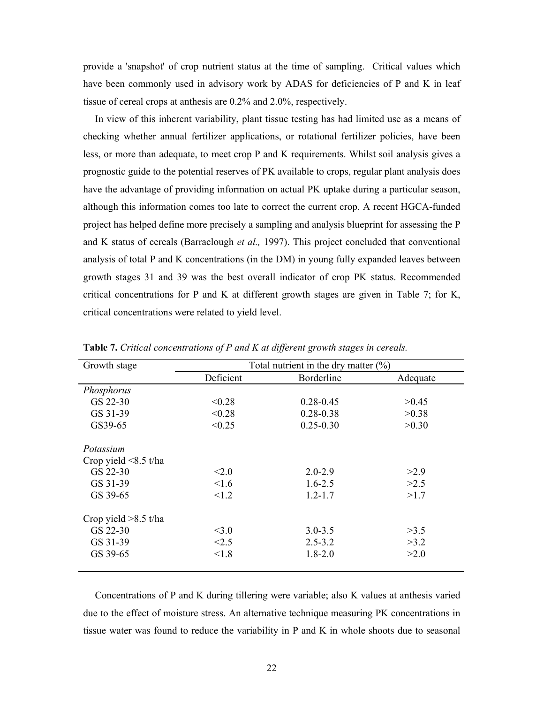provide a 'snapshot' of crop nutrient status at the time of sampling. Critical values which have been commonly used in advisory work by ADAS for deficiencies of P and K in leaf tissue of cereal crops at anthesis are 0.2% and 2.0%, respectively.

 In view of this inherent variability, plant tissue testing has had limited use as a means of checking whether annual fertilizer applications, or rotational fertilizer policies, have been less, or more than adequate, to meet crop P and K requirements. Whilst soil analysis gives a prognostic guide to the potential reserves of PK available to crops, regular plant analysis does have the advantage of providing information on actual PK uptake during a particular season, although this information comes too late to correct the current crop. A recent HGCA-funded project has helped define more precisely a sampling and analysis blueprint for assessing the P and K status of cereals (Barraclough *et al.,* 1997). This project concluded that conventional analysis of total P and K concentrations (in the DM) in young fully expanded leaves between growth stages 31 and 39 was the best overall indicator of crop PK status. Recommended critical concentrations for P and K at different growth stages are given in Table 7; for K, critical concentrations were related to yield level.

| Growth stage               |           | Total nutrient in the dry matter $(\%)$ |          |
|----------------------------|-----------|-----------------------------------------|----------|
|                            | Deficient | Borderline                              | Adequate |
| Phosphorus                 |           |                                         |          |
| GS 22-30                   | < 0.28    | $0.28 - 0.45$                           | >0.45    |
| GS 31-39                   | < 0.28    | $0.28 - 0.38$                           | >0.38    |
| GS39-65                    | < 0.25    | $0.25 - 0.30$                           | >0.30    |
| Potassium                  |           |                                         |          |
| Crop yield $\leq 8.5$ t/ha |           |                                         |          |
| GS 22-30                   | < 2.0     | $2.0 - 2.9$                             | >2.9     |
| GS 31-39                   | 1.6       | $1.6 - 2.5$                             | >2.5     |
| GS 39-65                   | < 1.2     | $1.2 - 1.7$                             | >1.7     |
| Crop yield $>8.5$ t/ha     |           |                                         |          |
| GS 22-30                   | $<$ 3.0   | $3.0 - 3.5$                             | >3.5     |
| GS 31-39                   | < 2.5     | $2.5 - 3.2$                             | >3.2     |
| GS 39-65                   | < 1.8     | $1.8 - 2.0$                             | >2.0     |
|                            |           |                                         |          |

**Table 7.** *Critical concentrations of P and K at different growth stages in cereals.* 

 Concentrations of P and K during tillering were variable; also K values at anthesis varied due to the effect of moisture stress. An alternative technique measuring PK concentrations in tissue water was found to reduce the variability in P and K in whole shoots due to seasonal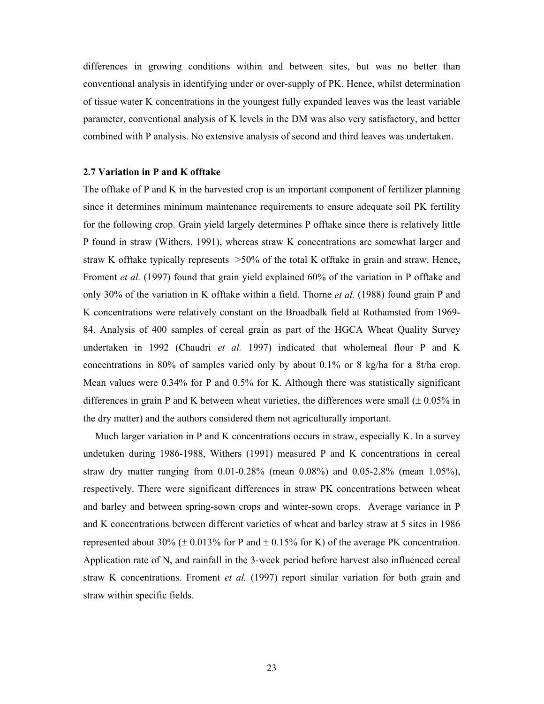differences in growing conditions within and between sites, but was no better than conventional analysis in identifying under or over-supply of PK. Hence, whilst determination of tissue water K concentrations in the youngest fully expanded leaves was the least variable parameter, conventional analysis of K levels in the DM was also very satisfactory, and better combined with P analysis. No extensive analysis of second and third leaves was undertaken.

# **2.7 Variation in P and K offtake**

The offtake of P and K in the harvested crop is an important component of fertilizer planning since it determines minimum maintenance requirements to ensure adequate soil PK fertility for the following crop. Grain yield largely determines P offtake since there is relatively little P found in straw (Withers, 1991), whereas straw K concentrations are somewhat larger and straw K offtake typically represents >50% of the total K offtake in grain and straw. Hence, Froment *et al.* (1997) found that grain yield explained 60% of the variation in P offtake and only 30% of the variation in K offtake within a field. Thorne *et al.* (1988) found grain P and K concentrations were relatively constant on the Broadbalk field at Rothamsted from 1969- 84. Analysis of 400 samples of cereal grain as part of the HGCA Wheat Quality Survey undertaken in 1992 (Chaudri *et al.* 1997) indicated that wholemeal flour P and K concentrations in 80% of samples varied only by about 0.1% or 8 kg/ha for a 8t/ha crop. Mean values were 0.34% for P and 0.5% for K. Although there was statistically significant differences in grain P and K between wheat varieties, the differences were small  $(\pm 0.05\%$  in the dry matter) and the authors considered them not agriculturally important.

 Much larger variation in P and K concentrations occurs in straw, especially K. In a survey undetaken during 1986-1988, Withers (1991) measured P and K concentrations in cereal straw dry matter ranging from  $0.01$ -0.28% (mean  $0.08\%$ ) and  $0.05$ -2.8% (mean 1.05%), respectively. There were significant differences in straw PK concentrations between wheat and barley and between spring-sown crops and winter-sown crops. Average variance in P and K concentrations between different varieties of wheat and barley straw at 5 sites in 1986 represented about 30% ( $\pm$  0.013% for P and  $\pm$  0.15% for K) of the average PK concentration. Application rate of N, and rainfall in the 3-week period before harvest also influenced cereal straw K concentrations. Froment *et al.* (1997) report similar variation for both grain and straw within specific fields.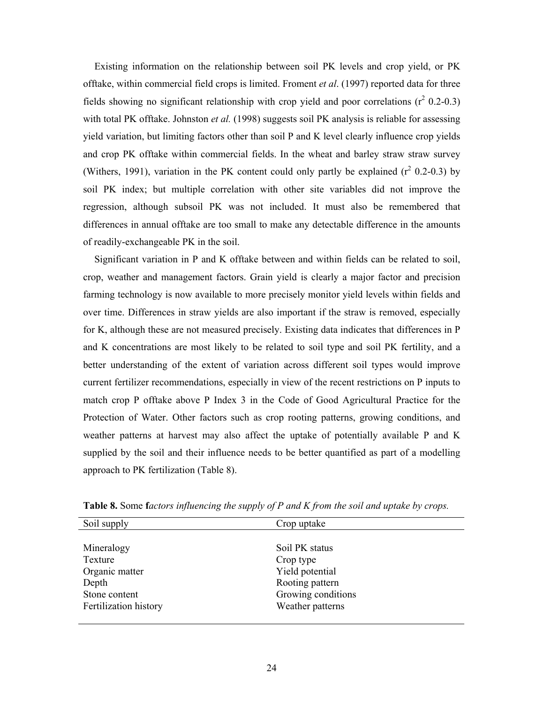Existing information on the relationship between soil PK levels and crop yield, or PK offtake, within commercial field crops is limited. Froment *et al*. (1997) reported data for three fields showing no significant relationship with crop yield and poor correlations  $(r^2 0.2{\text -}0.3)$ with total PK offtake. Johnston *et al.* (1998) suggests soil PK analysis is reliable for assessing yield variation, but limiting factors other than soil P and K level clearly influence crop yields and crop PK offtake within commercial fields. In the wheat and barley straw straw survey (Withers, 1991), variation in the PK content could only partly be explained  $(r^2 0.2-0.3)$  by soil PK index; but multiple correlation with other site variables did not improve the regression, although subsoil PK was not included. It must also be remembered that differences in annual offtake are too small to make any detectable difference in the amounts of readily-exchangeable PK in the soil.

 Significant variation in P and K offtake between and within fields can be related to soil, crop, weather and management factors. Grain yield is clearly a major factor and precision farming technology is now available to more precisely monitor yield levels within fields and over time. Differences in straw yields are also important if the straw is removed, especially for K, although these are not measured precisely. Existing data indicates that differences in P and K concentrations are most likely to be related to soil type and soil PK fertility, and a better understanding of the extent of variation across different soil types would improve current fertilizer recommendations, especially in view of the recent restrictions on P inputs to match crop P offtake above P Index 3 in the Code of Good Agricultural Practice for the Protection of Water. Other factors such as crop rooting patterns, growing conditions, and weather patterns at harvest may also affect the uptake of potentially available P and K supplied by the soil and their influence needs to be better quantified as part of a modelling approach to PK fertilization (Table 8).

| Soil supply           | Crop uptake        |
|-----------------------|--------------------|
|                       |                    |
| Mineralogy            | Soil PK status     |
| Texture               | Crop type          |
| Organic matter        | Yield potential    |
| Depth                 | Rooting pattern    |
| Stone content         | Growing conditions |
| Fertilization history | Weather patterns   |
|                       |                    |

**Table 8.** Some **f***actors influencing the supply of P and K from the soil and uptake by crops.*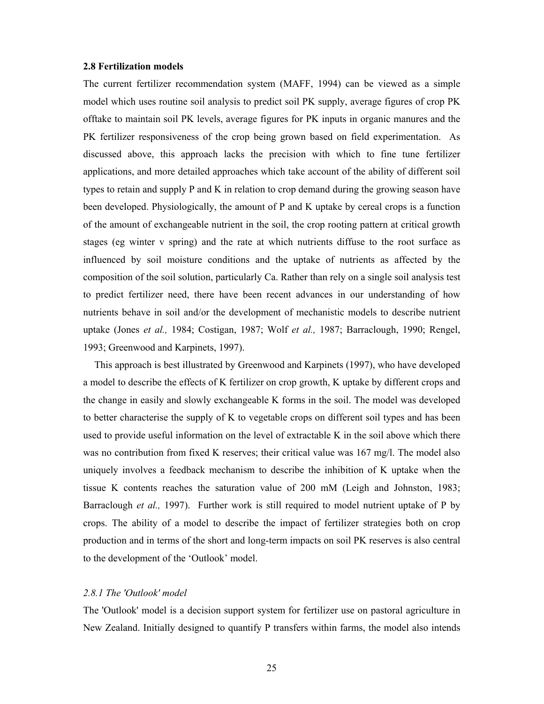#### **2.8 Fertilization models**

The current fertilizer recommendation system (MAFF, 1994) can be viewed as a simple model which uses routine soil analysis to predict soil PK supply, average figures of crop PK offtake to maintain soil PK levels, average figures for PK inputs in organic manures and the PK fertilizer responsiveness of the crop being grown based on field experimentation. As discussed above, this approach lacks the precision with which to fine tune fertilizer applications, and more detailed approaches which take account of the ability of different soil types to retain and supply P and K in relation to crop demand during the growing season have been developed. Physiologically, the amount of P and K uptake by cereal crops is a function of the amount of exchangeable nutrient in the soil, the crop rooting pattern at critical growth stages (eg winter v spring) and the rate at which nutrients diffuse to the root surface as influenced by soil moisture conditions and the uptake of nutrients as affected by the composition of the soil solution, particularly Ca. Rather than rely on a single soil analysis test to predict fertilizer need, there have been recent advances in our understanding of how nutrients behave in soil and/or the development of mechanistic models to describe nutrient uptake (Jones *et al.,* 1984; Costigan, 1987; Wolf *et al.,* 1987; Barraclough, 1990; Rengel, 1993; Greenwood and Karpinets, 1997).

 This approach is best illustrated by Greenwood and Karpinets (1997), who have developed a model to describe the effects of K fertilizer on crop growth, K uptake by different crops and the change in easily and slowly exchangeable K forms in the soil. The model was developed to better characterise the supply of K to vegetable crops on different soil types and has been used to provide useful information on the level of extractable K in the soil above which there was no contribution from fixed K reserves; their critical value was 167 mg/l. The model also uniquely involves a feedback mechanism to describe the inhibition of K uptake when the tissue K contents reaches the saturation value of 200 mM (Leigh and Johnston, 1983; Barraclough *et al.,* 1997). Further work is still required to model nutrient uptake of P by crops. The ability of a model to describe the impact of fertilizer strategies both on crop production and in terms of the short and long-term impacts on soil PK reserves is also central to the development of the 'Outlook' model.

# *2.8.1 The 'Outlook' model*

The 'Outlook' model is a decision support system for fertilizer use on pastoral agriculture in New Zealand. Initially designed to quantify P transfers within farms, the model also intends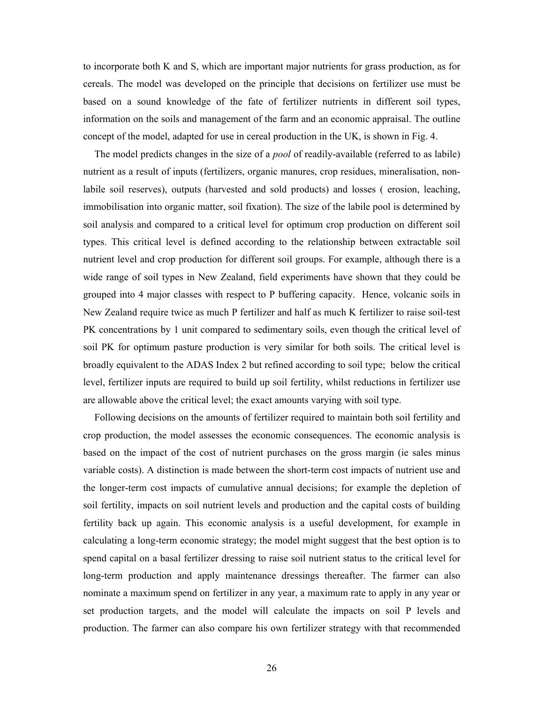to incorporate both K and S, which are important major nutrients for grass production, as for cereals. The model was developed on the principle that decisions on fertilizer use must be based on a sound knowledge of the fate of fertilizer nutrients in different soil types, information on the soils and management of the farm and an economic appraisal. The outline concept of the model, adapted for use in cereal production in the UK, is shown in Fig. 4.

 The model predicts changes in the size of a *pool* of readily-available (referred to as labile) nutrient as a result of inputs (fertilizers, organic manures, crop residues, mineralisation, nonlabile soil reserves), outputs (harvested and sold products) and losses ( erosion, leaching, immobilisation into organic matter, soil fixation). The size of the labile pool is determined by soil analysis and compared to a critical level for optimum crop production on different soil types. This critical level is defined according to the relationship between extractable soil nutrient level and crop production for different soil groups. For example, although there is a wide range of soil types in New Zealand, field experiments have shown that they could be grouped into 4 major classes with respect to P buffering capacity. Hence, volcanic soils in New Zealand require twice as much P fertilizer and half as much K fertilizer to raise soil-test PK concentrations by 1 unit compared to sedimentary soils, even though the critical level of soil PK for optimum pasture production is very similar for both soils. The critical level is broadly equivalent to the ADAS Index 2 but refined according to soil type; below the critical level, fertilizer inputs are required to build up soil fertility, whilst reductions in fertilizer use are allowable above the critical level; the exact amounts varying with soil type.

 Following decisions on the amounts of fertilizer required to maintain both soil fertility and crop production, the model assesses the economic consequences. The economic analysis is based on the impact of the cost of nutrient purchases on the gross margin (ie sales minus variable costs). A distinction is made between the short-term cost impacts of nutrient use and the longer-term cost impacts of cumulative annual decisions; for example the depletion of soil fertility, impacts on soil nutrient levels and production and the capital costs of building fertility back up again. This economic analysis is a useful development, for example in calculating a long-term economic strategy; the model might suggest that the best option is to spend capital on a basal fertilizer dressing to raise soil nutrient status to the critical level for long-term production and apply maintenance dressings thereafter. The farmer can also nominate a maximum spend on fertilizer in any year, a maximum rate to apply in any year or set production targets, and the model will calculate the impacts on soil P levels and production. The farmer can also compare his own fertilizer strategy with that recommended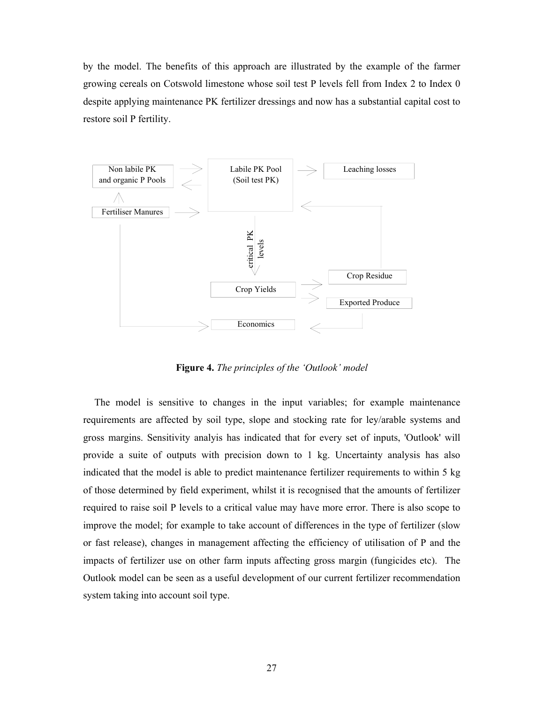by the model. The benefits of this approach are illustrated by the example of the farmer growing cereals on Cotswold limestone whose soil test P levels fell from Index 2 to Index 0 despite applying maintenance PK fertilizer dressings and now has a substantial capital cost to restore soil P fertility.



**Figure 4.** *The principles of the 'Outlook' model* 

 The model is sensitive to changes in the input variables; for example maintenance requirements are affected by soil type, slope and stocking rate for ley/arable systems and gross margins. Sensitivity analyis has indicated that for every set of inputs, 'Outlook' will provide a suite of outputs with precision down to 1 kg. Uncertainty analysis has also indicated that the model is able to predict maintenance fertilizer requirements to within 5 kg of those determined by field experiment, whilst it is recognised that the amounts of fertilizer required to raise soil P levels to a critical value may have more error. There is also scope to improve the model; for example to take account of differences in the type of fertilizer (slow or fast release), changes in management affecting the efficiency of utilisation of P and the impacts of fertilizer use on other farm inputs affecting gross margin (fungicides etc). The Outlook model can be seen as a useful development of our current fertilizer recommendation system taking into account soil type.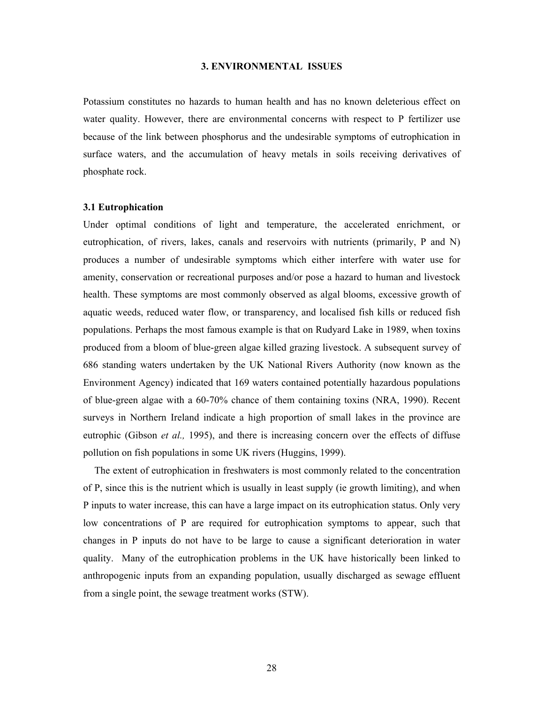#### **3. ENVIRONMENTAL ISSUES**

Potassium constitutes no hazards to human health and has no known deleterious effect on water quality. However, there are environmental concerns with respect to P fertilizer use because of the link between phosphorus and the undesirable symptoms of eutrophication in surface waters, and the accumulation of heavy metals in soils receiving derivatives of phosphate rock.

# **3.1 Eutrophication**

Under optimal conditions of light and temperature, the accelerated enrichment, or eutrophication, of rivers, lakes, canals and reservoirs with nutrients (primarily, P and N) produces a number of undesirable symptoms which either interfere with water use for amenity, conservation or recreational purposes and/or pose a hazard to human and livestock health. These symptoms are most commonly observed as algal blooms, excessive growth of aquatic weeds, reduced water flow, or transparency, and localised fish kills or reduced fish populations. Perhaps the most famous example is that on Rudyard Lake in 1989, when toxins produced from a bloom of blue-green algae killed grazing livestock. A subsequent survey of 686 standing waters undertaken by the UK National Rivers Authority (now known as the Environment Agency) indicated that 169 waters contained potentially hazardous populations of blue-green algae with a 60-70% chance of them containing toxins (NRA, 1990). Recent surveys in Northern Ireland indicate a high proportion of small lakes in the province are eutrophic (Gibson *et al.,* 1995), and there is increasing concern over the effects of diffuse pollution on fish populations in some UK rivers (Huggins, 1999).

 The extent of eutrophication in freshwaters is most commonly related to the concentration of P, since this is the nutrient which is usually in least supply (ie growth limiting), and when P inputs to water increase, this can have a large impact on its eutrophication status. Only very low concentrations of P are required for eutrophication symptoms to appear, such that changes in P inputs do not have to be large to cause a significant deterioration in water quality. Many of the eutrophication problems in the UK have historically been linked to anthropogenic inputs from an expanding population, usually discharged as sewage effluent from a single point, the sewage treatment works (STW).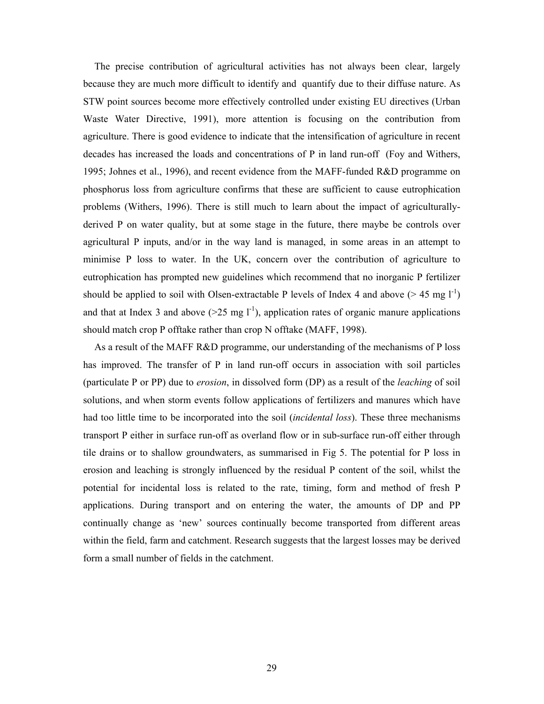The precise contribution of agricultural activities has not always been clear, largely because they are much more difficult to identify and quantify due to their diffuse nature. As STW point sources become more effectively controlled under existing EU directives (Urban Waste Water Directive, 1991), more attention is focusing on the contribution from agriculture. There is good evidence to indicate that the intensification of agriculture in recent decades has increased the loads and concentrations of P in land run-off (Foy and Withers, 1995; Johnes et al., 1996), and recent evidence from the MAFF-funded R&D programme on phosphorus loss from agriculture confirms that these are sufficient to cause eutrophication problems (Withers, 1996). There is still much to learn about the impact of agriculturallyderived P on water quality, but at some stage in the future, there maybe be controls over agricultural P inputs, and/or in the way land is managed, in some areas in an attempt to minimise P loss to water. In the UK, concern over the contribution of agriculture to eutrophication has prompted new guidelines which recommend that no inorganic P fertilizer should be applied to soil with Olsen-extractable P levels of Index 4 and above ( $> 45 \text{ mg } l^{-1}$ ) and that at Index 3 and above  $(>=25 \text{ mg } l^{-1})$ , application rates of organic manure applications should match crop P offtake rather than crop N offtake (MAFF, 1998).

 As a result of the MAFF R&D programme, our understanding of the mechanisms of P loss has improved. The transfer of P in land run-off occurs in association with soil particles (particulate P or PP) due to *erosion*, in dissolved form (DP) as a result of the *leaching* of soil solutions, and when storm events follow applications of fertilizers and manures which have had too little time to be incorporated into the soil (*incidental loss*). These three mechanisms transport P either in surface run-off as overland flow or in sub-surface run-off either through tile drains or to shallow groundwaters, as summarised in Fig 5. The potential for P loss in erosion and leaching is strongly influenced by the residual P content of the soil, whilst the potential for incidental loss is related to the rate, timing, form and method of fresh P applications. During transport and on entering the water, the amounts of DP and PP continually change as 'new' sources continually become transported from different areas within the field, farm and catchment. Research suggests that the largest losses may be derived form a small number of fields in the catchment.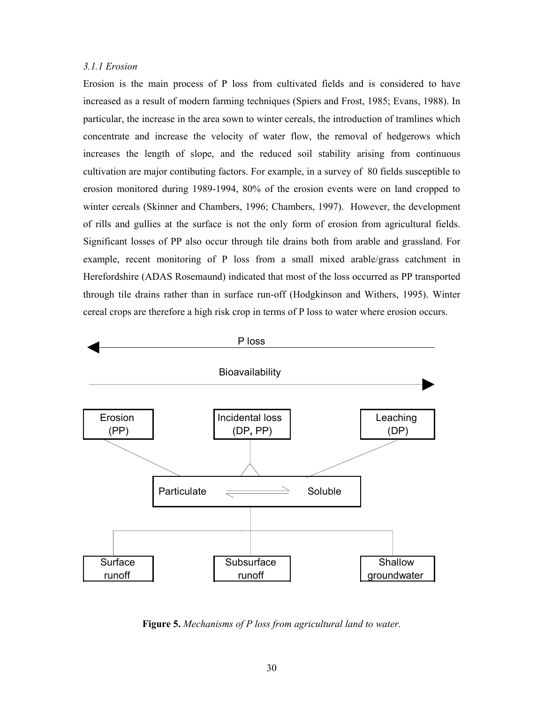# *3.1.1 Erosion*

Erosion is the main process of P loss from cultivated fields and is considered to have increased as a result of modern farming techniques (Spiers and Frost, 1985; Evans, 1988). In particular, the increase in the area sown to winter cereals, the introduction of tramlines which concentrate and increase the velocity of water flow, the removal of hedgerows which increases the length of slope, and the reduced soil stability arising from continuous cultivation are major contibuting factors. For example, in a survey of 80 fields susceptible to erosion monitored during 1989-1994, 80% of the erosion events were on land cropped to winter cereals (Skinner and Chambers, 1996; Chambers, 1997). However, the development of rills and gullies at the surface is not the only form of erosion from agricultural fields. Significant losses of PP also occur through tile drains both from arable and grassland. For example, recent monitoring of P loss from a small mixed arable/grass catchment in Herefordshire (ADAS Rosemaund) indicated that most of the loss occurred as PP transported through tile drains rather than in surface run-off (Hodgkinson and Withers, 1995). Winter cereal crops are therefore a high risk crop in terms of P loss to water where erosion occurs.



**Figure 5.** *Mechanisms of P loss from agricultural land to water.*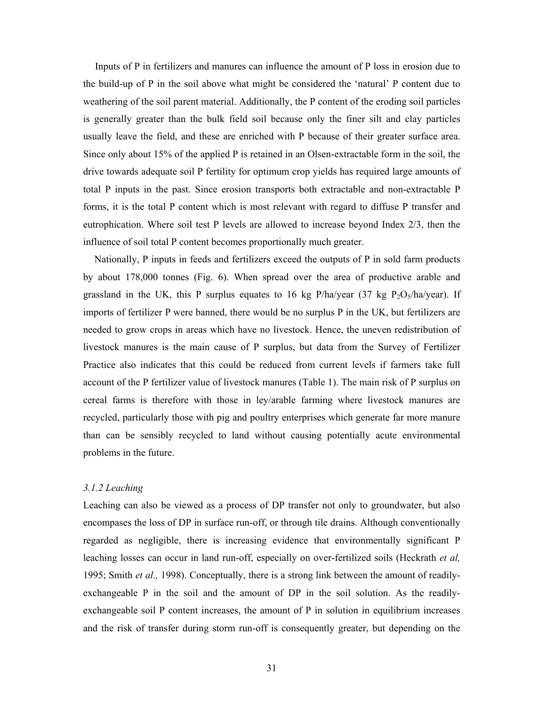Inputs of P in fertilizers and manures can influence the amount of P loss in erosion due to the build-up of P in the soil above what might be considered the 'natural' P content due to weathering of the soil parent material. Additionally, the P content of the eroding soil particles is generally greater than the bulk field soil because only the finer silt and clay particles usually leave the field, and these are enriched with P because of their greater surface area. Since only about 15% of the applied P is retained in an Olsen-extractable form in the soil, the drive towards adequate soil P fertility for optimum crop yields has required large amounts of total P inputs in the past. Since erosion transports both extractable and non-extractable P forms, it is the total P content which is most relevant with regard to diffuse P transfer and eutrophication. Where soil test P levels are allowed to increase beyond Index 2/3, then the influence of soil total P content becomes proportionally much greater.

 Nationally, P inputs in feeds and fertilizers exceed the outputs of P in sold farm products by about 178,000 tonnes (Fig. 6). When spread over the area of productive arable and grassland in the UK, this P surplus equates to 16 kg P/ha/year  $(37 \text{ kg } P_2O_5/\text{ha/year})$ . If imports of fertilizer P were banned, there would be no surplus P in the UK, but fertilizers are needed to grow crops in areas which have no livestock. Hence, the uneven redistribution of livestock manures is the main cause of P surplus, but data from the Survey of Fertilizer Practice also indicates that this could be reduced from current levels if farmers take full account of the P fertilizer value of livestock manures (Table 1). The main risk of P surplus on cereal farms is therefore with those in ley/arable farming where livestock manures are recycled, particularly those with pig and poultry enterprises which generate far more manure than can be sensibly recycled to land without causing potentially acute environmental problems in the future.

# *3.1.2 Leaching*

Leaching can also be viewed as a process of DP transfer not only to groundwater, but also encompases the loss of DP in surface run-off, or through tile drains. Although conventionally regarded as negligible, there is increasing evidence that environmentally significant P leaching losses can occur in land run-off, especially on over-fertilized soils (Heckrath *et al,* 1995; Smith *et al.,* 1998). Conceptually, there is a strong link between the amount of readilyexchangeable P in the soil and the amount of DP in the soil solution. As the readilyexchangeable soil P content increases, the amount of P in solution in equilibrium increases and the risk of transfer during storm run-off is consequently greater, but depending on the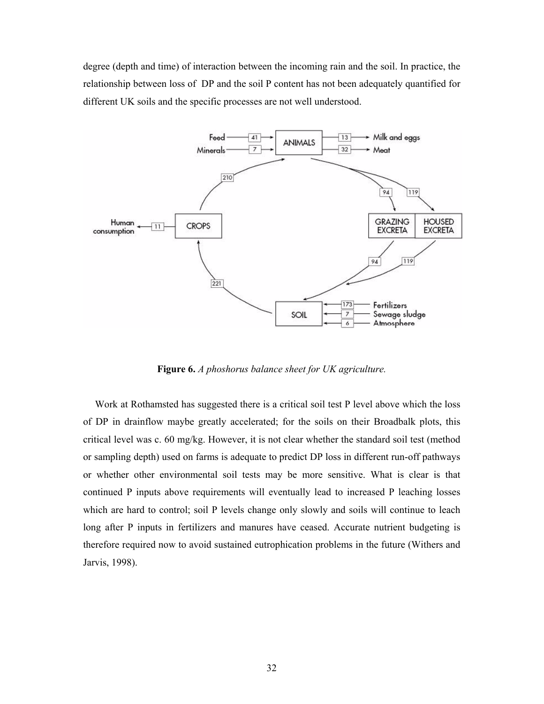degree (depth and time) of interaction between the incoming rain and the soil. In practice, the relationship between loss of DP and the soil P content has not been adequately quantified for different UK soils and the specific processes are not well understood.



**Figure 6.** *A phoshorus balance sheet for UK agriculture.* 

 Work at Rothamsted has suggested there is a critical soil test P level above which the loss of DP in drainflow maybe greatly accelerated; for the soils on their Broadbalk plots, this critical level was c. 60 mg/kg. However, it is not clear whether the standard soil test (method or sampling depth) used on farms is adequate to predict DP loss in different run-off pathways or whether other environmental soil tests may be more sensitive. What is clear is that continued P inputs above requirements will eventually lead to increased P leaching losses which are hard to control; soil P levels change only slowly and soils will continue to leach long after P inputs in fertilizers and manures have ceased. Accurate nutrient budgeting is therefore required now to avoid sustained eutrophication problems in the future (Withers and Jarvis, 1998).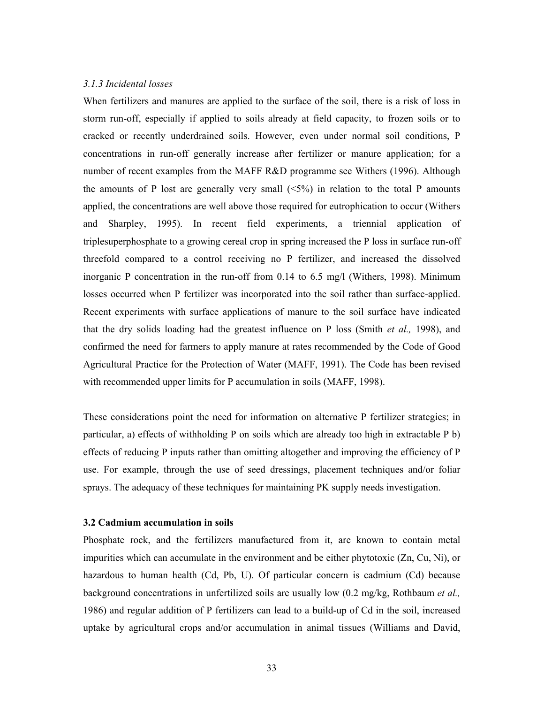# *3.1.3 Incidental losses*

When fertilizers and manures are applied to the surface of the soil, there is a risk of loss in storm run-off, especially if applied to soils already at field capacity, to frozen soils or to cracked or recently underdrained soils. However, even under normal soil conditions, P concentrations in run-off generally increase after fertilizer or manure application; for a number of recent examples from the MAFF R&D programme see Withers (1996). Although the amounts of P lost are generally very small  $\langle 5\% \rangle$  in relation to the total P amounts applied, the concentrations are well above those required for eutrophication to occur (Withers and Sharpley, 1995). In recent field experiments, a triennial application of triplesuperphosphate to a growing cereal crop in spring increased the P loss in surface run-off threefold compared to a control receiving no P fertilizer, and increased the dissolved inorganic P concentration in the run-off from 0.14 to 6.5 mg/l (Withers, 1998). Minimum losses occurred when P fertilizer was incorporated into the soil rather than surface-applied. Recent experiments with surface applications of manure to the soil surface have indicated that the dry solids loading had the greatest influence on P loss (Smith *et al.,* 1998), and confirmed the need for farmers to apply manure at rates recommended by the Code of Good Agricultural Practice for the Protection of Water (MAFF, 1991). The Code has been revised with recommended upper limits for P accumulation in soils (MAFF, 1998).

These considerations point the need for information on alternative P fertilizer strategies; in particular, a) effects of withholding P on soils which are already too high in extractable P b) effects of reducing P inputs rather than omitting altogether and improving the efficiency of P use. For example, through the use of seed dressings, placement techniques and/or foliar sprays. The adequacy of these techniques for maintaining PK supply needs investigation.

# **3.2 Cadmium accumulation in soils**

Phosphate rock, and the fertilizers manufactured from it, are known to contain metal impurities which can accumulate in the environment and be either phytotoxic (Zn, Cu, Ni), or hazardous to human health (Cd, Pb, U). Of particular concern is cadmium (Cd) because background concentrations in unfertilized soils are usually low (0.2 mg/kg, Rothbaum *et al.,*  1986) and regular addition of P fertilizers can lead to a build-up of Cd in the soil, increased uptake by agricultural crops and/or accumulation in animal tissues (Williams and David,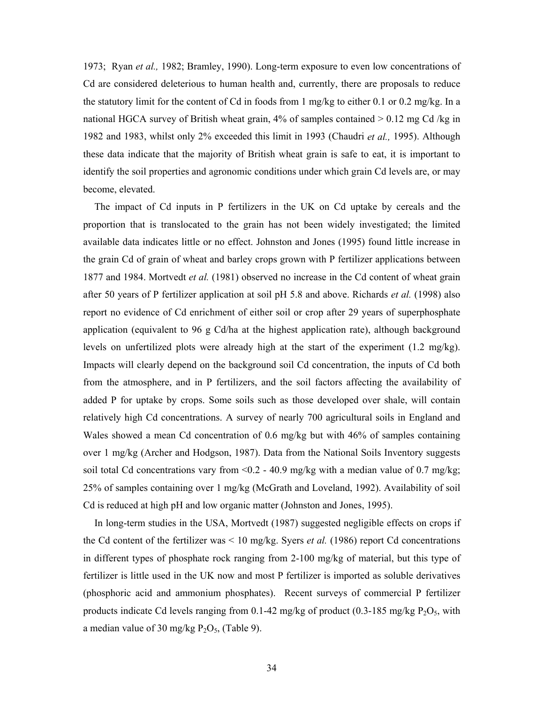1973; Ryan *et al.,* 1982; Bramley, 1990). Long-term exposure to even low concentrations of Cd are considered deleterious to human health and, currently, there are proposals to reduce the statutory limit for the content of Cd in foods from 1 mg/kg to either 0.1 or 0.2 mg/kg. In a national HGCA survey of British wheat grain,  $4\%$  of samples contained  $> 0.12$  mg Cd /kg in 1982 and 1983, whilst only 2% exceeded this limit in 1993 (Chaudri *et al.,* 1995). Although these data indicate that the majority of British wheat grain is safe to eat, it is important to identify the soil properties and agronomic conditions under which grain Cd levels are, or may become, elevated.

 The impact of Cd inputs in P fertilizers in the UK on Cd uptake by cereals and the proportion that is translocated to the grain has not been widely investigated; the limited available data indicates little or no effect. Johnston and Jones (1995) found little increase in the grain Cd of grain of wheat and barley crops grown with P fertilizer applications between 1877 and 1984. Mortvedt *et al.* (1981) observed no increase in the Cd content of wheat grain after 50 years of P fertilizer application at soil pH 5.8 and above. Richards *et al.* (1998) also report no evidence of Cd enrichment of either soil or crop after 29 years of superphosphate application (equivalent to 96 g Cd/ha at the highest application rate), although background levels on unfertilized plots were already high at the start of the experiment (1.2 mg/kg). Impacts will clearly depend on the background soil Cd concentration, the inputs of Cd both from the atmosphere, and in P fertilizers, and the soil factors affecting the availability of added P for uptake by crops. Some soils such as those developed over shale, will contain relatively high Cd concentrations. A survey of nearly 700 agricultural soils in England and Wales showed a mean Cd concentration of 0.6 mg/kg but with 46% of samples containing over 1 mg/kg (Archer and Hodgson, 1987). Data from the National Soils Inventory suggests soil total Cd concentrations vary from  $\leq 0.2$  - 40.9 mg/kg with a median value of 0.7 mg/kg; 25% of samples containing over 1 mg/kg (McGrath and Loveland, 1992). Availability of soil Cd is reduced at high pH and low organic matter (Johnston and Jones, 1995).

 In long-term studies in the USA, Mortvedt (1987) suggested negligible effects on crops if the Cd content of the fertilizer was  $\leq 10$  mg/kg. Syers *et al.* (1986) report Cd concentrations in different types of phosphate rock ranging from 2-100 mg/kg of material, but this type of fertilizer is little used in the UK now and most P fertilizer is imported as soluble derivatives (phosphoric acid and ammonium phosphates). Recent surveys of commercial P fertilizer products indicate Cd levels ranging from 0.1-42 mg/kg of product (0.3-185 mg/kg  $P_2O_5$ , with a median value of 30 mg/kg  $P_2O_5$ , (Table 9).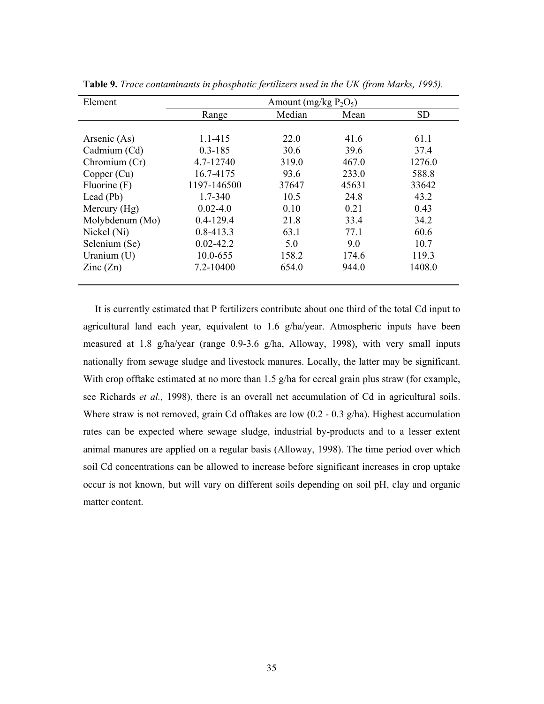| Element                  | Amount (mg/kg $P_2O_5$ ) |        |       |           |  |  |  |
|--------------------------|--------------------------|--------|-------|-----------|--|--|--|
|                          | Range                    | Median | Mean  | <b>SD</b> |  |  |  |
|                          |                          |        |       |           |  |  |  |
| Arsenic (As)             | 1.1-415                  | 22.0   | 41.6  | 61.1      |  |  |  |
| Cadmium (Cd)             | $0.3 - 185$              | 30.6   | 39.6  | 37.4      |  |  |  |
| Chromium (Cr)            | 4.7-12740                | 319.0  | 467.0 | 1276.0    |  |  |  |
| Copper (Cu)              | 16.7-4175                | 93.6   | 233.0 | 588.8     |  |  |  |
| Fluorine (F)             | 1197-146500              | 37647  | 45631 | 33642     |  |  |  |
| Lead $(Pb)$              | 1.7-340                  | 10.5   | 24.8  | 43.2      |  |  |  |
| Mercury (Hg)             | $0.02 - 4.0$             | 0.10   | 0.21  | 0.43      |  |  |  |
| Molybdenum (Mo)          | $0.4 - 129.4$            | 21.8   | 33.4  | 34.2      |  |  |  |
| Nickel (Ni)              | $0.8 - 413.3$            | 63.1   | 77.1  | 60.6      |  |  |  |
| Selenium (Se)            | $0.02 - 42.2$            | 5.0    | 9.0   | 10.7      |  |  |  |
| Uranium $(U)$            | 10.0-655                 | 158.2  | 174.6 | 119.3     |  |  |  |
| $\text{Zinc}(\text{Zn})$ | 7.2-10400                | 654.0  | 944.0 | 1408.0    |  |  |  |
|                          |                          |        |       |           |  |  |  |

**Table 9.** *Trace contaminants in phosphatic fertilizers used in the UK (from Marks, 1995).* 

 It is currently estimated that P fertilizers contribute about one third of the total Cd input to agricultural land each year, equivalent to 1.6 g/ha/year. Atmospheric inputs have been measured at 1.8 g/ha/year (range 0.9-3.6 g/ha, Alloway, 1998), with very small inputs nationally from sewage sludge and livestock manures. Locally, the latter may be significant. With crop offtake estimated at no more than 1.5 g/ha for cereal grain plus straw (for example, see Richards *et al.,* 1998), there is an overall net accumulation of Cd in agricultural soils. Where straw is not removed, grain Cd offtakes are low (0.2 - 0.3 g/ha). Highest accumulation rates can be expected where sewage sludge, industrial by-products and to a lesser extent animal manures are applied on a regular basis (Alloway, 1998). The time period over which soil Cd concentrations can be allowed to increase before significant increases in crop uptake occur is not known, but will vary on different soils depending on soil pH, clay and organic matter content.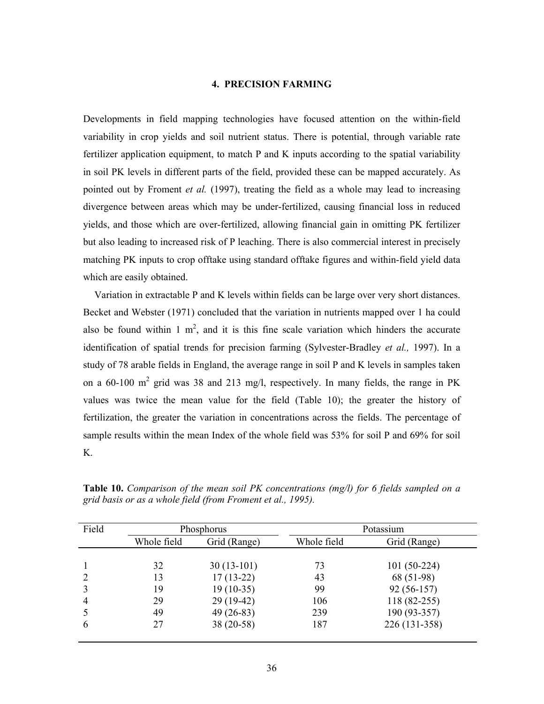# **4. PRECISION FARMING**

Developments in field mapping technologies have focused attention on the within-field variability in crop yields and soil nutrient status. There is potential, through variable rate fertilizer application equipment, to match P and K inputs according to the spatial variability in soil PK levels in different parts of the field, provided these can be mapped accurately. As pointed out by Froment *et al.* (1997), treating the field as a whole may lead to increasing divergence between areas which may be under-fertilized, causing financial loss in reduced yields, and those which are over-fertilized, allowing financial gain in omitting PK fertilizer but also leading to increased risk of P leaching. There is also commercial interest in precisely matching PK inputs to crop offtake using standard offtake figures and within-field yield data which are easily obtained.

 Variation in extractable P and K levels within fields can be large over very short distances. Becket and Webster (1971) concluded that the variation in nutrients mapped over 1 ha could also be found within 1  $m^2$ , and it is this fine scale variation which hinders the accurate identification of spatial trends for precision farming (Sylvester-Bradley *et al.,* 1997). In a study of 78 arable fields in England, the average range in soil P and K levels in samples taken on a 60-100  $m^2$  grid was 38 and 213 mg/l, respectively. In many fields, the range in PK values was twice the mean value for the field (Table 10); the greater the history of fertilization, the greater the variation in concentrations across the fields. The percentage of sample results within the mean Index of the whole field was 53% for soil P and 69% for soil K.

| Field          |             | Phosphorus   |             | Potassium     |  |
|----------------|-------------|--------------|-------------|---------------|--|
|                | Whole field | Grid (Range) | Whole field | Grid (Range)  |  |
|                |             |              |             |               |  |
|                | 32          | $30(13-101)$ | 73          | $101(50-224)$ |  |
|                | 13          | $17(13-22)$  | 43          | 68 (51-98)    |  |
|                | 19          | $19(10-35)$  | 99          | $92(56-157)$  |  |
| $\overline{4}$ | 29          | $29(19-42)$  | 106         | $118(82-255)$ |  |
|                | 49          | $49(26-83)$  | 239         | 190 (93-357)  |  |
| 6              | 27          | $38(20-58)$  | 187         | 226 (131-358) |  |
|                |             |              |             |               |  |

**Table 10.** *Comparison of the mean soil PK concentrations (mg/l) for 6 fields sampled on a grid basis or as a whole field (from Froment et al., 1995).*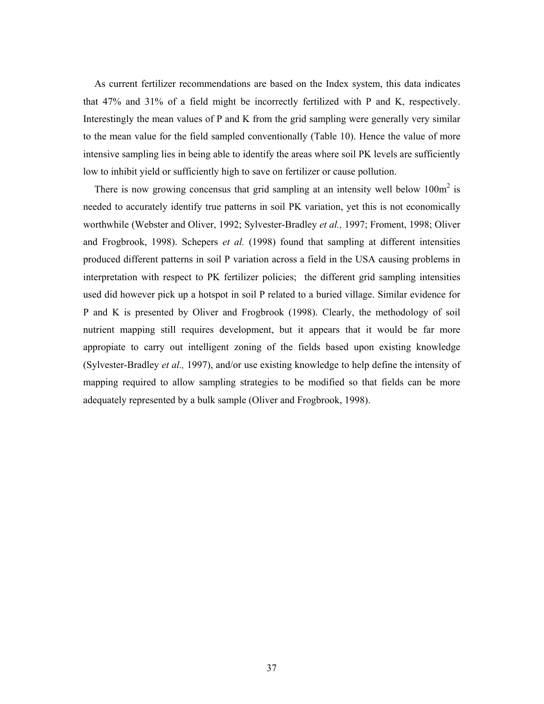As current fertilizer recommendations are based on the Index system, this data indicates that 47% and 31% of a field might be incorrectly fertilized with P and K, respectively. Interestingly the mean values of P and K from the grid sampling were generally very similar to the mean value for the field sampled conventionally (Table 10). Hence the value of more intensive sampling lies in being able to identify the areas where soil PK levels are sufficiently low to inhibit yield or sufficiently high to save on fertilizer or cause pollution.

There is now growing concensus that grid sampling at an intensity well below  $100m<sup>2</sup>$  is needed to accurately identify true patterns in soil PK variation, yet this is not economically worthwhile (Webster and Oliver, 1992; Sylvester-Bradley *et al.,* 1997; Froment, 1998; Oliver and Frogbrook, 1998). Schepers *et al.* (1998) found that sampling at different intensities produced different patterns in soil P variation across a field in the USA causing problems in interpretation with respect to PK fertilizer policies; the different grid sampling intensities used did however pick up a hotspot in soil P related to a buried village. Similar evidence for P and K is presented by Oliver and Frogbrook (1998). Clearly, the methodology of soil nutrient mapping still requires development, but it appears that it would be far more appropiate to carry out intelligent zoning of the fields based upon existing knowledge (Sylvester-Bradley *et al.,* 1997), and/or use existing knowledge to help define the intensity of mapping required to allow sampling strategies to be modified so that fields can be more adequately represented by a bulk sample (Oliver and Frogbrook, 1998).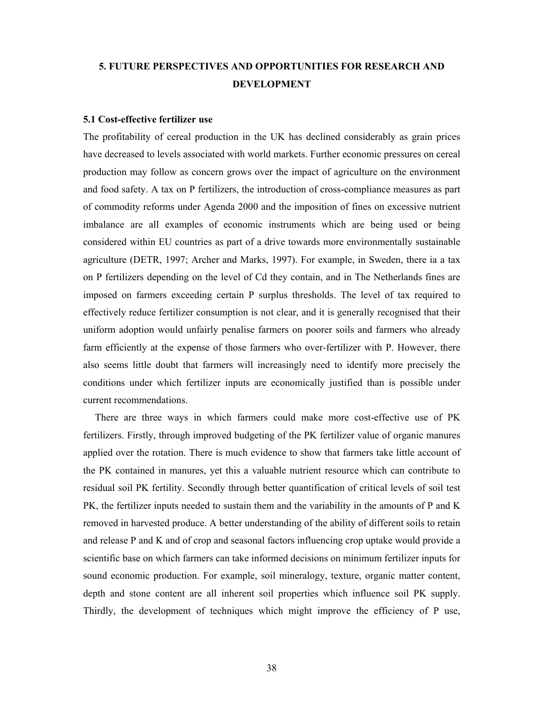# **5. FUTURE PERSPECTIVES AND OPPORTUNITIES FOR RESEARCH AND DEVELOPMENT**

# **5.1 Cost-effective fertilizer use**

The profitability of cereal production in the UK has declined considerably as grain prices have decreased to levels associated with world markets. Further economic pressures on cereal production may follow as concern grows over the impact of agriculture on the environment and food safety. A tax on P fertilizers, the introduction of cross-compliance measures as part of commodity reforms under Agenda 2000 and the imposition of fines on excessive nutrient imbalance are all examples of economic instruments which are being used or being considered within EU countries as part of a drive towards more environmentally sustainable agriculture (DETR, 1997; Archer and Marks, 1997). For example, in Sweden, there ia a tax on P fertilizers depending on the level of Cd they contain, and in The Netherlands fines are imposed on farmers exceeding certain P surplus thresholds. The level of tax required to effectively reduce fertilizer consumption is not clear, and it is generally recognised that their uniform adoption would unfairly penalise farmers on poorer soils and farmers who already farm efficiently at the expense of those farmers who over-fertilizer with P. However, there also seems little doubt that farmers will increasingly need to identify more precisely the conditions under which fertilizer inputs are economically justified than is possible under current recommendations.

 There are three ways in which farmers could make more cost-effective use of PK fertilizers. Firstly, through improved budgeting of the PK fertilizer value of organic manures applied over the rotation. There is much evidence to show that farmers take little account of the PK contained in manures, yet this a valuable nutrient resource which can contribute to residual soil PK fertility. Secondly through better quantification of critical levels of soil test PK, the fertilizer inputs needed to sustain them and the variability in the amounts of P and K removed in harvested produce. A better understanding of the ability of different soils to retain and release P and K and of crop and seasonal factors influencing crop uptake would provide a scientific base on which farmers can take informed decisions on minimum fertilizer inputs for sound economic production. For example, soil mineralogy, texture, organic matter content, depth and stone content are all inherent soil properties which influence soil PK supply. Thirdly, the development of techniques which might improve the efficiency of P use,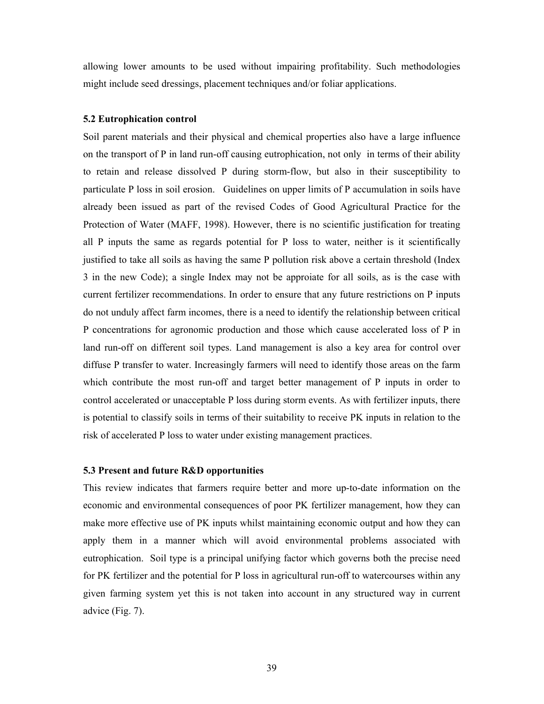allowing lower amounts to be used without impairing profitability. Such methodologies might include seed dressings, placement techniques and/or foliar applications.

## **5.2 Eutrophication control**

Soil parent materials and their physical and chemical properties also have a large influence on the transport of P in land run-off causing eutrophication, not only in terms of their ability to retain and release dissolved P during storm-flow, but also in their susceptibility to particulate P loss in soil erosion. Guidelines on upper limits of P accumulation in soils have already been issued as part of the revised Codes of Good Agricultural Practice for the Protection of Water (MAFF, 1998). However, there is no scientific justification for treating all P inputs the same as regards potential for P loss to water, neither is it scientifically justified to take all soils as having the same P pollution risk above a certain threshold (Index 3 in the new Code); a single Index may not be approiate for all soils, as is the case with current fertilizer recommendations. In order to ensure that any future restrictions on P inputs do not unduly affect farm incomes, there is a need to identify the relationship between critical P concentrations for agronomic production and those which cause accelerated loss of P in land run-off on different soil types. Land management is also a key area for control over diffuse P transfer to water. Increasingly farmers will need to identify those areas on the farm which contribute the most run-off and target better management of P inputs in order to control accelerated or unacceptable P loss during storm events. As with fertilizer inputs, there is potential to classify soils in terms of their suitability to receive PK inputs in relation to the risk of accelerated P loss to water under existing management practices.

### **5.3 Present and future R&D opportunities**

This review indicates that farmers require better and more up-to-date information on the economic and environmental consequences of poor PK fertilizer management, how they can make more effective use of PK inputs whilst maintaining economic output and how they can apply them in a manner which will avoid environmental problems associated with eutrophication. Soil type is a principal unifying factor which governs both the precise need for PK fertilizer and the potential for P loss in agricultural run-off to watercourses within any given farming system yet this is not taken into account in any structured way in current advice (Fig. 7).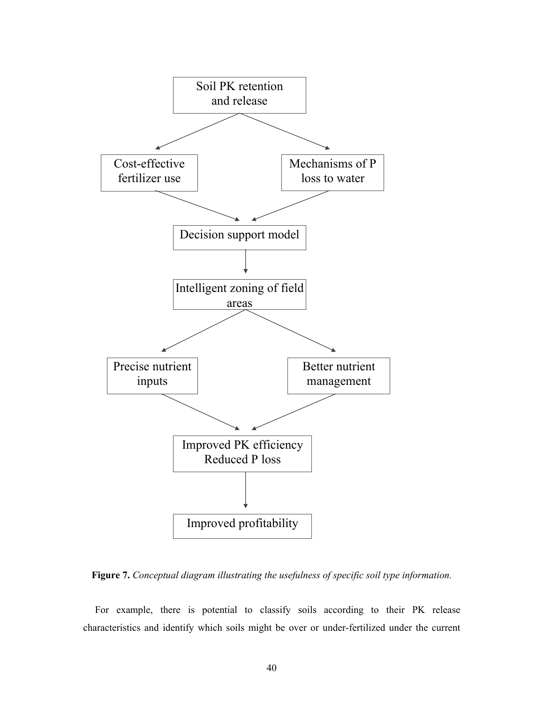

**Figure 7.** *Conceptual diagram illustrating the usefulness of specific soil type information.* 

 For example, there is potential to classify soils according to their PK release characteristics and identify which soils might be over or under-fertilized under the current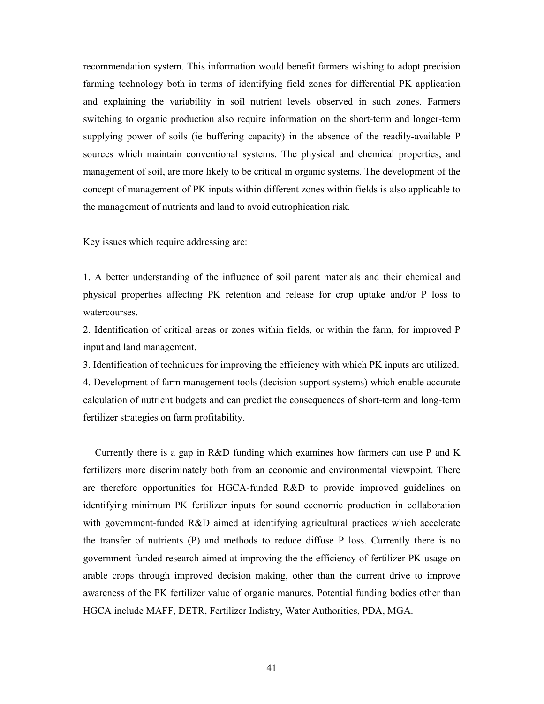recommendation system. This information would benefit farmers wishing to adopt precision farming technology both in terms of identifying field zones for differential PK application and explaining the variability in soil nutrient levels observed in such zones. Farmers switching to organic production also require information on the short-term and longer-term supplying power of soils (ie buffering capacity) in the absence of the readily-available P sources which maintain conventional systems. The physical and chemical properties, and management of soil, are more likely to be critical in organic systems. The development of the concept of management of PK inputs within different zones within fields is also applicable to the management of nutrients and land to avoid eutrophication risk.

Key issues which require addressing are:

1. A better understanding of the influence of soil parent materials and their chemical and physical properties affecting PK retention and release for crop uptake and/or P loss to watercourses.

2. Identification of critical areas or zones within fields, or within the farm, for improved P input and land management.

3. Identification of techniques for improving the efficiency with which PK inputs are utilized.

4. Development of farm management tools (decision support systems) which enable accurate calculation of nutrient budgets and can predict the consequences of short-term and long-term fertilizer strategies on farm profitability.

 Currently there is a gap in R&D funding which examines how farmers can use P and K fertilizers more discriminately both from an economic and environmental viewpoint. There are therefore opportunities for HGCA-funded R&D to provide improved guidelines on identifying minimum PK fertilizer inputs for sound economic production in collaboration with government-funded R&D aimed at identifying agricultural practices which accelerate the transfer of nutrients (P) and methods to reduce diffuse P loss. Currently there is no government-funded research aimed at improving the the efficiency of fertilizer PK usage on arable crops through improved decision making, other than the current drive to improve awareness of the PK fertilizer value of organic manures. Potential funding bodies other than HGCA include MAFF, DETR, Fertilizer Indistry, Water Authorities, PDA, MGA.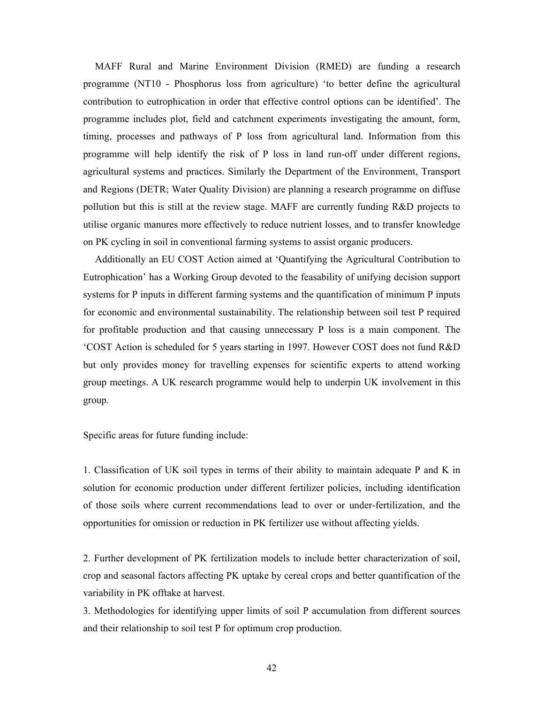MAFF Rural and Marine Environment Division (RMED) are funding a research programme (NT10 - Phosphorus loss from agriculture) 'to better define the agricultural contribution to eutrophication in order that effective control options can be identified'. The programme includes plot, field and catchment experiments investigating the amount, form, timing, processes and pathways of P loss from agricultural land. Information from this programme will help identify the risk of P loss in land run-off under different regions, agricultural systems and practices. Similarly the Department of the Environment, Transport and Regions (DETR; Water Quality Division) are planning a research programme on diffuse pollution but this is still at the review stage. MAFF are currently funding R&D projects to utilise organic manures more effectively to reduce nutrient losses, and to transfer knowledge on PK cycling in soil in conventional farming systems to assist organic producers.

 Additionally an EU COST Action aimed at 'Quantifying the Agricultural Contribution to Eutrophication' has a Working Group devoted to the feasability of unifying decision support systems for P inputs in different farming systems and the quantification of minimum P inputs for economic and environmental sustainability. The relationship between soil test P required for profitable production and that causing unnecessary P loss is a main component. The 'COST Action is scheduled for 5 years starting in 1997. However COST does not fund R&D but only provides money for travelling expenses for scientific experts to attend working group meetings. A UK research programme would help to underpin UK involvement in this group.

Specific areas for future funding include:

1. Classification of UK soil types in terms of their ability to maintain adequate P and K in solution for economic production under different fertilizer policies, including identification of those soils where current recommendations lead to over or under-fertilization, and the opportunities for omission or reduction in PK fertilizer use without affecting yields.

2. Further development of PK fertilization models to include better characterization of soil, crop and seasonal factors affecting PK uptake by cereal crops and better quantification of the variability in PK offtake at harvest.

3. Methodologies for identifying upper limits of soil P accumulation from different sources and their relationship to soil test P for optimum crop production.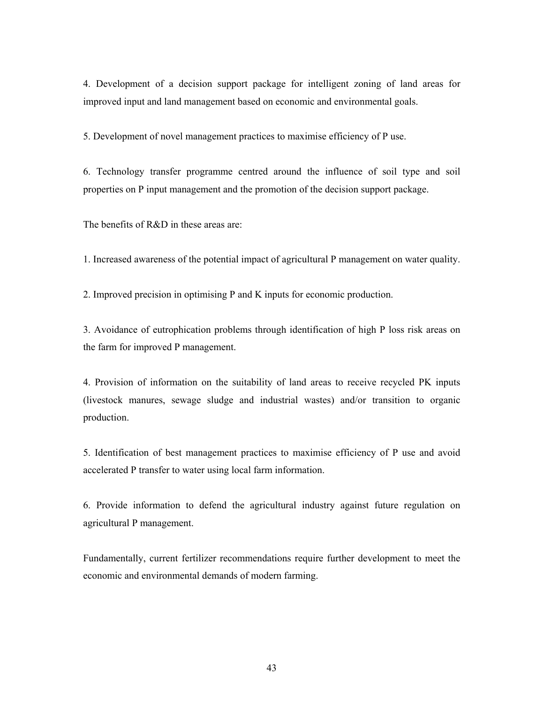4. Development of a decision support package for intelligent zoning of land areas for improved input and land management based on economic and environmental goals.

5. Development of novel management practices to maximise efficiency of P use.

6. Technology transfer programme centred around the influence of soil type and soil properties on P input management and the promotion of the decision support package.

The benefits of R&D in these areas are:

1. Increased awareness of the potential impact of agricultural P management on water quality.

2. Improved precision in optimising P and K inputs for economic production.

3. Avoidance of eutrophication problems through identification of high P loss risk areas on the farm for improved P management.

4. Provision of information on the suitability of land areas to receive recycled PK inputs (livestock manures, sewage sludge and industrial wastes) and/or transition to organic production.

5. Identification of best management practices to maximise efficiency of P use and avoid accelerated P transfer to water using local farm information.

6. Provide information to defend the agricultural industry against future regulation on agricultural P management.

Fundamentally, current fertilizer recommendations require further development to meet the economic and environmental demands of modern farming.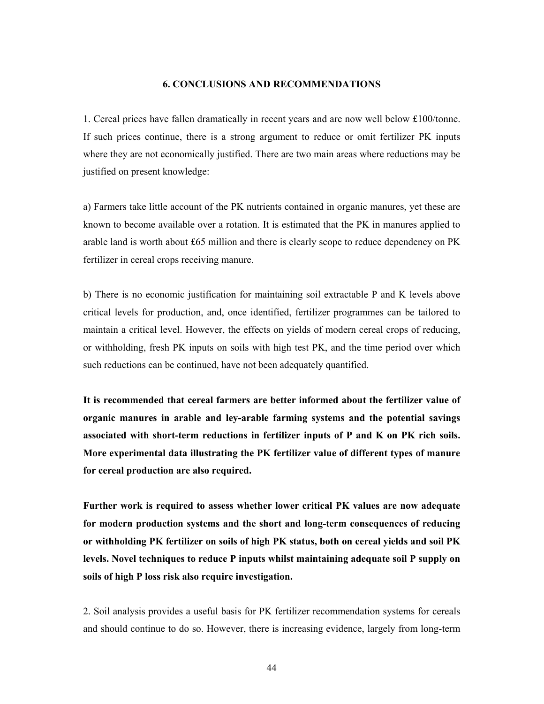# **6. CONCLUSIONS AND RECOMMENDATIONS**

1. Cereal prices have fallen dramatically in recent years and are now well below £100/tonne. If such prices continue, there is a strong argument to reduce or omit fertilizer PK inputs where they are not economically justified. There are two main areas where reductions may be justified on present knowledge:

a) Farmers take little account of the PK nutrients contained in organic manures, yet these are known to become available over a rotation. It is estimated that the PK in manures applied to arable land is worth about £65 million and there is clearly scope to reduce dependency on PK fertilizer in cereal crops receiving manure.

b) There is no economic justification for maintaining soil extractable P and K levels above critical levels for production, and, once identified, fertilizer programmes can be tailored to maintain a critical level. However, the effects on yields of modern cereal crops of reducing, or withholding, fresh PK inputs on soils with high test PK, and the time period over which such reductions can be continued, have not been adequately quantified.

**It is recommended that cereal farmers are better informed about the fertilizer value of organic manures in arable and ley-arable farming systems and the potential savings associated with short-term reductions in fertilizer inputs of P and K on PK rich soils. More experimental data illustrating the PK fertilizer value of different types of manure for cereal production are also required.** 

**Further work is required to assess whether lower critical PK values are now adequate for modern production systems and the short and long-term consequences of reducing or withholding PK fertilizer on soils of high PK status, both on cereal yields and soil PK levels. Novel techniques to reduce P inputs whilst maintaining adequate soil P supply on soils of high P loss risk also require investigation.** 

2. Soil analysis provides a useful basis for PK fertilizer recommendation systems for cereals and should continue to do so. However, there is increasing evidence, largely from long-term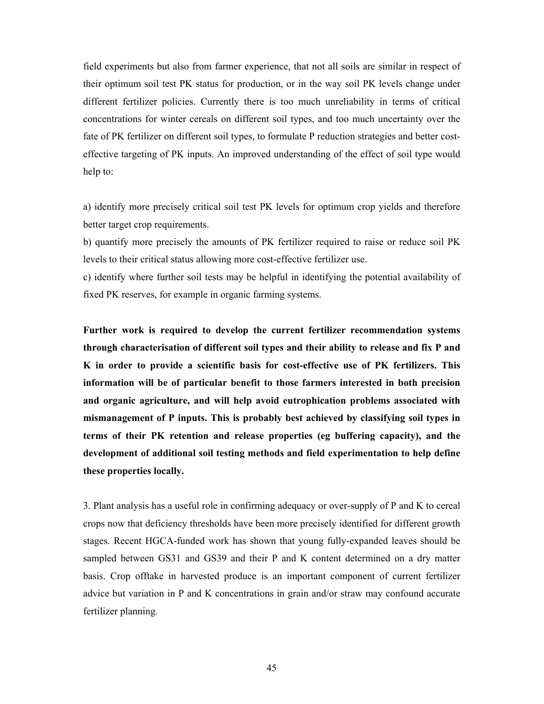field experiments but also from farmer experience, that not all soils are similar in respect of their optimum soil test PK status for production, or in the way soil PK levels change under different fertilizer policies. Currently there is too much unreliability in terms of critical concentrations for winter cereals on different soil types, and too much uncertainty over the fate of PK fertilizer on different soil types, to formulate P reduction strategies and better costeffective targeting of PK inputs. An improved understanding of the effect of soil type would help to:

a) identify more precisely critical soil test PK levels for optimum crop yields and therefore better target crop requirements.

b) quantify more precisely the amounts of PK fertilizer required to raise or reduce soil PK levels to their critical status allowing more cost-effective fertilizer use.

c) identify where further soil tests may be helpful in identifying the potential availability of fixed PK reserves, for example in organic farming systems.

**Further work is required to develop the current fertilizer recommendation systems through characterisation of different soil types and their ability to release and fix P and K in order to provide a scientific basis for cost-effective use of PK fertilizers. This information will be of particular benefit to those farmers interested in both precision and organic agriculture, and will help avoid eutrophication problems associated with mismanagement of P inputs. This is probably best achieved by classifying soil types in terms of their PK retention and release properties (eg buffering capacity), and the development of additional soil testing methods and field experimentation to help define these properties locally.** 

3. Plant analysis has a useful role in confirming adequacy or over-supply of P and K to cereal crops now that deficiency thresholds have been more precisely identified for different growth stages. Recent HGCA-funded work has shown that young fully-expanded leaves should be sampled between GS31 and GS39 and their P and K content determined on a dry matter basis. Crop offtake in harvested produce is an important component of current fertilizer advice but variation in P and K concentrations in grain and/or straw may confound accurate fertilizer planning.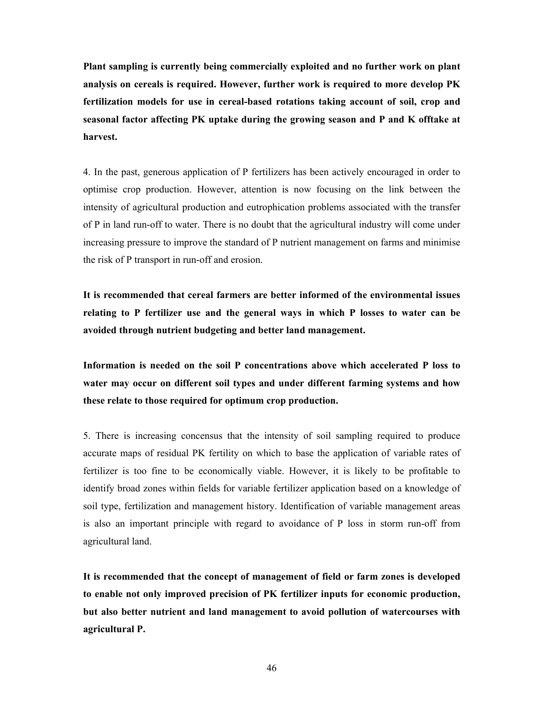**Plant sampling is currently being commercially exploited and no further work on plant analysis on cereals is required. However, further work is required to more develop PK fertilization models for use in cereal-based rotations taking account of soil, crop and seasonal factor affecting PK uptake during the growing season and P and K offtake at harvest.** 

4. In the past, generous application of P fertilizers has been actively encouraged in order to optimise crop production. However, attention is now focusing on the link between the intensity of agricultural production and eutrophication problems associated with the transfer of P in land run-off to water. There is no doubt that the agricultural industry will come under increasing pressure to improve the standard of P nutrient management on farms and minimise the risk of P transport in run-off and erosion.

**It is recommended that cereal farmers are better informed of the environmental issues relating to P fertilizer use and the general ways in which P losses to water can be avoided through nutrient budgeting and better land management.** 

**Information is needed on the soil P concentrations above which accelerated P loss to water may occur on different soil types and under different farming systems and how these relate to those required for optimum crop production.** 

5. There is increasing concensus that the intensity of soil sampling required to produce accurate maps of residual PK fertility on which to base the application of variable rates of fertilizer is too fine to be economically viable. However, it is likely to be profitable to identify broad zones within fields for variable fertilizer application based on a knowledge of soil type, fertilization and management history. Identification of variable management areas is also an important principle with regard to avoidance of P loss in storm run-off from agricultural land.

**It is recommended that the concept of management of field or farm zones is developed to enable not only improved precision of PK fertilizer inputs for economic production, but also better nutrient and land management to avoid pollution of watercourses with agricultural P.**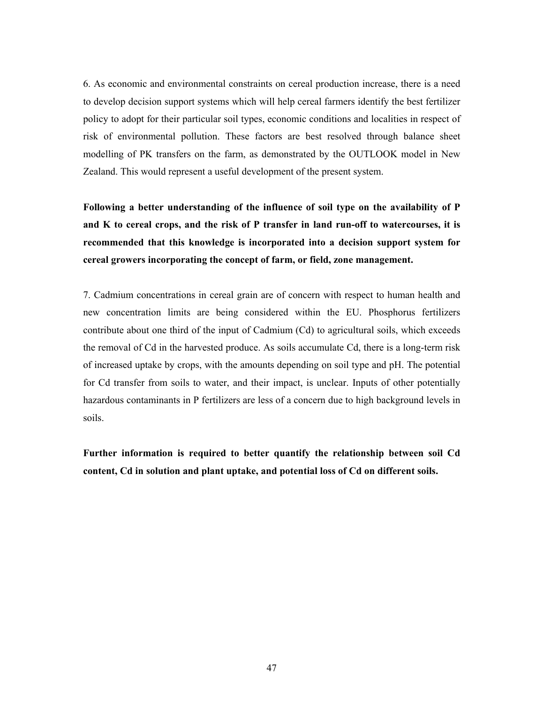6. As economic and environmental constraints on cereal production increase, there is a need to develop decision support systems which will help cereal farmers identify the best fertilizer policy to adopt for their particular soil types, economic conditions and localities in respect of risk of environmental pollution. These factors are best resolved through balance sheet modelling of PK transfers on the farm, as demonstrated by the OUTLOOK model in New Zealand. This would represent a useful development of the present system.

**Following a better understanding of the influence of soil type on the availability of P and K to cereal crops, and the risk of P transfer in land run-off to watercourses, it is recommended that this knowledge is incorporated into a decision support system for cereal growers incorporating the concept of farm, or field, zone management.** 

7. Cadmium concentrations in cereal grain are of concern with respect to human health and new concentration limits are being considered within the EU. Phosphorus fertilizers contribute about one third of the input of Cadmium (Cd) to agricultural soils, which exceeds the removal of Cd in the harvested produce. As soils accumulate Cd, there is a long-term risk of increased uptake by crops, with the amounts depending on soil type and pH. The potential for Cd transfer from soils to water, and their impact, is unclear. Inputs of other potentially hazardous contaminants in P fertilizers are less of a concern due to high background levels in soils.

**Further information is required to better quantify the relationship between soil Cd content, Cd in solution and plant uptake, and potential loss of Cd on different soils.**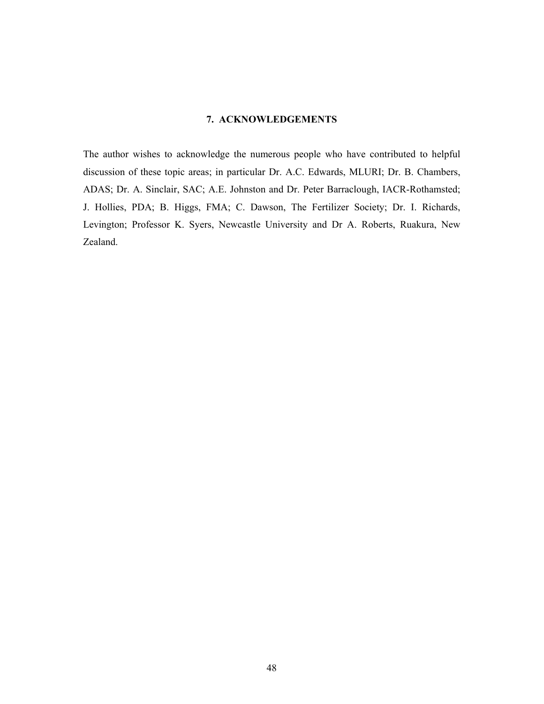# **7. ACKNOWLEDGEMENTS**

The author wishes to acknowledge the numerous people who have contributed to helpful discussion of these topic areas; in particular Dr. A.C. Edwards, MLURI; Dr. B. Chambers, ADAS; Dr. A. Sinclair, SAC; A.E. Johnston and Dr. Peter Barraclough, IACR-Rothamsted; J. Hollies, PDA; B. Higgs, FMA; C. Dawson, The Fertilizer Society; Dr. I. Richards, Levington; Professor K. Syers, Newcastle University and Dr A. Roberts, Ruakura, New Zealand.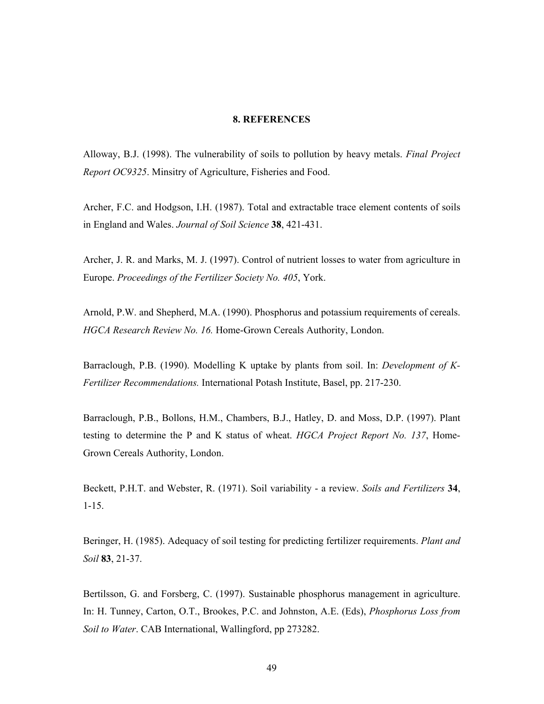# **8. REFERENCES**

Alloway, B.J. (1998). The vulnerability of soils to pollution by heavy metals. *Final Project Report OC9325*. Minsitry of Agriculture, Fisheries and Food.

Archer, F.C. and Hodgson, I.H. (1987). Total and extractable trace element contents of soils in England and Wales. *Journal of Soil Science* **38**, 421-431.

Archer, J. R. and Marks, M. J. (1997). Control of nutrient losses to water from agriculture in Europe. *Proceedings of the Fertilizer Society No. 405*, York.

Arnold, P.W. and Shepherd, M.A. (1990). Phosphorus and potassium requirements of cereals. *HGCA Research Review No. 16.* Home-Grown Cereals Authority, London.

Barraclough, P.B. (1990). Modelling K uptake by plants from soil. In: *Development of K-Fertilizer Recommendations.* International Potash Institute, Basel, pp. 217-230.

Barraclough, P.B., Bollons, H.M., Chambers, B.J., Hatley, D. and Moss, D.P. (1997). Plant testing to determine the P and K status of wheat. *HGCA Project Report No. 137*, Home-Grown Cereals Authority, London.

Beckett, P.H.T. and Webster, R. (1971). Soil variability - a review. *Soils and Fertilizers* **34**, 1-15.

Beringer, H. (1985). Adequacy of soil testing for predicting fertilizer requirements. *Plant and Soil* **83**, 21-37.

Bertilsson, G. and Forsberg, C. (1997). Sustainable phosphorus management in agriculture. In: H. Tunney, Carton, O.T., Brookes, P.C. and Johnston, A.E. (Eds), *Phosphorus Loss from Soil to Water*. CAB International, Wallingford, pp 273282.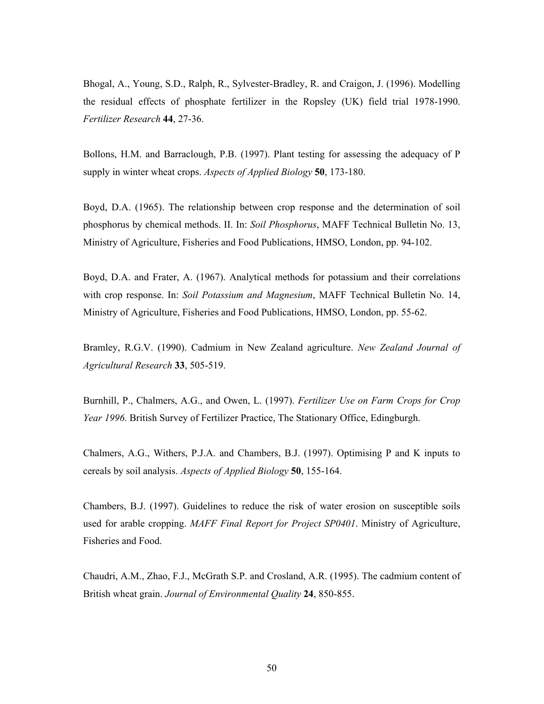Bhogal, A., Young, S.D., Ralph, R., Sylvester-Bradley, R. and Craigon, J. (1996). Modelling the residual effects of phosphate fertilizer in the Ropsley (UK) field trial 1978-1990. *Fertilizer Research* **44**, 27-36.

Bollons, H.M. and Barraclough, P.B. (1997). Plant testing for assessing the adequacy of P supply in winter wheat crops. *Aspects of Applied Biology* **50**, 173-180.

Boyd, D.A. (1965). The relationship between crop response and the determination of soil phosphorus by chemical methods. II. In: *Soil Phosphorus*, MAFF Technical Bulletin No. 13, Ministry of Agriculture, Fisheries and Food Publications, HMSO, London, pp. 94-102.

Boyd, D.A. and Frater, A. (1967). Analytical methods for potassium and their correlations with crop response. In: *Soil Potassium and Magnesium*, MAFF Technical Bulletin No. 14, Ministry of Agriculture, Fisheries and Food Publications, HMSO, London, pp. 55-62.

Bramley, R.G.V. (1990). Cadmium in New Zealand agriculture. *New Zealand Journal of Agricultural Research* **33**, 505-519.

Burnhill, P., Chalmers, A.G., and Owen, L. (1997). *Fertilizer Use on Farm Crops for Crop Year 1996.* British Survey of Fertilizer Practice, The Stationary Office, Edingburgh.

Chalmers, A.G., Withers, P.J.A. and Chambers, B.J. (1997). Optimising P and K inputs to cereals by soil analysis. *Aspects of Applied Biology* **50**, 155-164.

Chambers, B.J. (1997). Guidelines to reduce the risk of water erosion on susceptible soils used for arable cropping. *MAFF Final Report for Project SP0401*. Ministry of Agriculture, Fisheries and Food.

Chaudri, A.M., Zhao, F.J., McGrath S.P. and Crosland, A.R. (1995). The cadmium content of British wheat grain. *Journal of Environmental Quality* **24**, 850-855.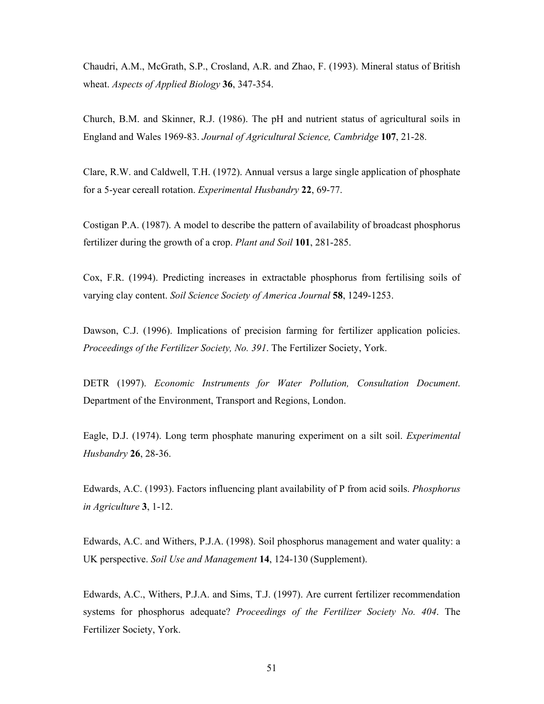Chaudri, A.M., McGrath, S.P., Crosland, A.R. and Zhao, F. (1993). Mineral status of British wheat. *Aspects of Applied Biology* **36**, 347-354.

Church, B.M. and Skinner, R.J. (1986). The pH and nutrient status of agricultural soils in England and Wales 1969-83. *Journal of Agricultural Science, Cambridge* **107**, 21-28.

Clare, R.W. and Caldwell, T.H. (1972). Annual versus a large single application of phosphate for a 5-year cereall rotation. *Experimental Husbandry* **22**, 69-77.

Costigan P.A. (1987). A model to describe the pattern of availability of broadcast phosphorus fertilizer during the growth of a crop. *Plant and Soil* **101**, 281-285.

Cox, F.R. (1994). Predicting increases in extractable phosphorus from fertilising soils of varying clay content. *Soil Science Society of America Journal* **58**, 1249-1253.

Dawson, C.J. (1996). Implications of precision farming for fertilizer application policies. *Proceedings of the Fertilizer Society, No. 391*. The Fertilizer Society, York.

DETR (1997). *Economic Instruments for Water Pollution, Consultation Document*. Department of the Environment, Transport and Regions, London.

Eagle, D.J. (1974). Long term phosphate manuring experiment on a silt soil. *Experimental Husbandry* **26**, 28-36.

Edwards, A.C. (1993). Factors influencing plant availability of P from acid soils. *Phosphorus in Agriculture* **3**, 1-12.

Edwards, A.C. and Withers, P.J.A. (1998). Soil phosphorus management and water quality: a UK perspective. *Soil Use and Management* **14**, 124-130 (Supplement).

Edwards, A.C., Withers, P.J.A. and Sims, T.J. (1997). Are current fertilizer recommendation systems for phosphorus adequate? *Proceedings of the Fertilizer Society No. 404*. The Fertilizer Society, York.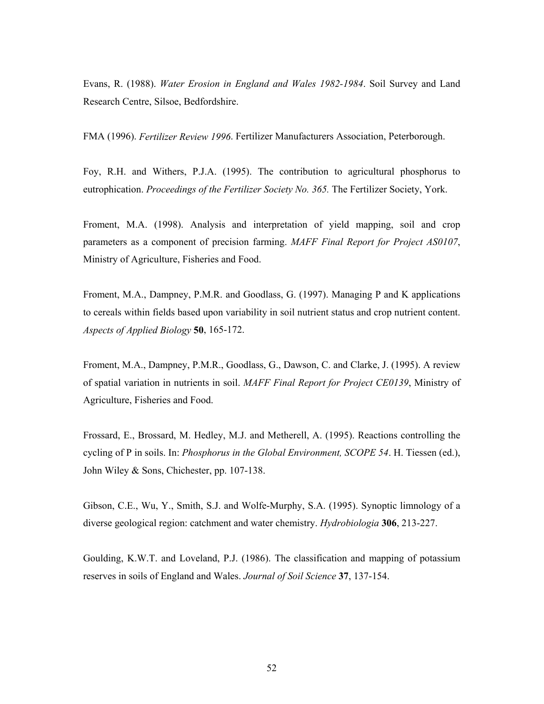Evans, R. (1988). *Water Erosion in England and Wales 1982-1984*. Soil Survey and Land Research Centre, Silsoe, Bedfordshire.

FMA (1996). *Fertilizer Review 1996*. Fertilizer Manufacturers Association, Peterborough.

Foy, R.H. and Withers, P.J.A. (1995). The contribution to agricultural phosphorus to eutrophication. *Proceedings of the Fertilizer Society No. 365.* The Fertilizer Society, York.

Froment, M.A. (1998). Analysis and interpretation of yield mapping, soil and crop parameters as a component of precision farming. *MAFF Final Report for Project AS0107*, Ministry of Agriculture, Fisheries and Food.

Froment, M.A., Dampney, P.M.R. and Goodlass, G. (1997). Managing P and K applications to cereals within fields based upon variability in soil nutrient status and crop nutrient content. *Aspects of Applied Biology* **50**, 165-172.

Froment, M.A., Dampney, P.M.R., Goodlass, G., Dawson, C. and Clarke, J. (1995). A review of spatial variation in nutrients in soil. *MAFF Final Report for Project CE0139*, Ministry of Agriculture, Fisheries and Food.

Frossard, E., Brossard, M. Hedley, M.J. and Metherell, A. (1995). Reactions controlling the cycling of P in soils. In: *Phosphorus in the Global Environment, SCOPE 54*. H. Tiessen (ed.), John Wiley & Sons, Chichester, pp. 107-138.

Gibson, C.E., Wu, Y., Smith, S.J. and Wolfe-Murphy, S.A. (1995). Synoptic limnology of a diverse geological region: catchment and water chemistry. *Hydrobiologia* **306**, 213-227.

Goulding, K.W.T. and Loveland, P.J. (1986). The classification and mapping of potassium reserves in soils of England and Wales. *Journal of Soil Science* **37**, 137-154.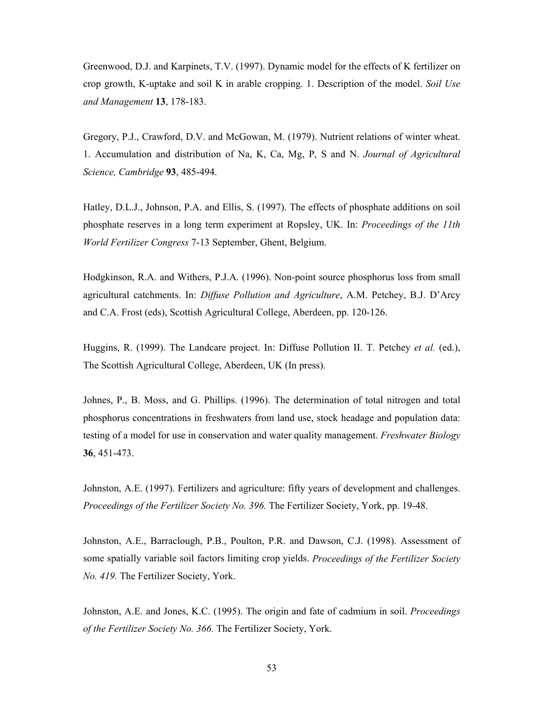Greenwood, D.J. and Karpinets, T.V. (1997). Dynamic model for the effects of K fertilizer on crop growth, K-uptake and soil K in arable cropping. 1. Description of the model. *Soil Use and Management* **13**, 178-183.

Gregory, P.J., Crawford, D.V. and McGowan, M. (1979). Nutrient relations of winter wheat. 1. Accumulation and distribution of Na, K, Ca, Mg, P, S and N. *Journal of Agricultural Science, Cambridge* **93**, 485-494.

Hatley, D.L.J., Johnson, P.A. and Ellis, S. (1997). The effects of phosphate additions on soil phosphate reserves in a long term experiment at Ropsley, UK. In: *Proceedings of the 11th World Fertilizer Congress* 7-13 September, Ghent, Belgium.

Hodgkinson, R.A. and Withers, P.J.A. (1996). Non-point source phosphorus loss from small agricultural catchments. In: *Diffuse Pollution and Agriculture*, A.M. Petchey, B.J. D'Arcy and C.A. Frost (eds), Scottish Agricultural College, Aberdeen, pp. 120-126.

Huggins, R. (1999). The Landcare project. In: Diffuse Pollution II. T. Petchey *et al.* (ed.), The Scottish Agricultural College, Aberdeen, UK (In press).

Johnes, P., B. Moss, and G. Phillips. (1996). The determination of total nitrogen and total phosphorus concentrations in freshwaters from land use, stock headage and population data: testing of a model for use in conservation and water quality management. *Freshwater Biology* **36**, 451-473.

Johnston, A.E. (1997). Fertilizers and agriculture: fifty years of development and challenges. *Proceedings of the Fertilizer Society No. 396.* The Fertilizer Society, York, pp. 19-48.

Johnston, A.E., Barraclough, P.B., Poulton, P.R. and Dawson, C.J. (1998). Assessment of some spatially variable soil factors limiting crop yields. *Proceedings of the Fertilizer Society No. 419.* The Fertilizer Society, York.

Johnston, A.E. and Jones, K.C. (1995). The origin and fate of cadmium in soil. *Proceedings of the Fertilizer Society No. 366.* The Fertilizer Society, York.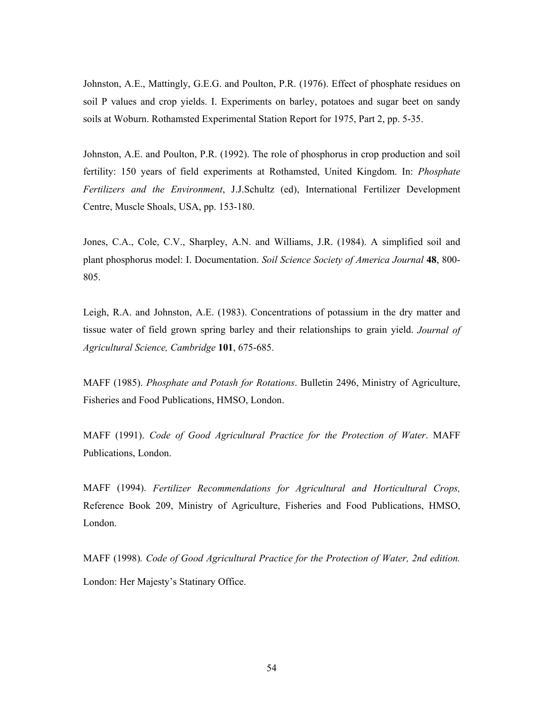Johnston, A.E., Mattingly, G.E.G. and Poulton, P.R. (1976). Effect of phosphate residues on soil P values and crop yields. I. Experiments on barley, potatoes and sugar beet on sandy soils at Woburn. Rothamsted Experimental Station Report for 1975, Part 2, pp. 5-35.

Johnston, A.E. and Poulton, P.R. (1992). The role of phosphorus in crop production and soil fertility: 150 years of field experiments at Rothamsted, United Kingdom. In: *Phosphate Fertilizers and the Environment*, J.J.Schultz (ed), International Fertilizer Development Centre, Muscle Shoals, USA, pp. 153-180.

Jones, C.A., Cole, C.V., Sharpley, A.N. and Williams, J.R. (1984). A simplified soil and plant phosphorus model: I. Documentation. *Soil Science Society of America Journal* **48**, 800- 805.

Leigh, R.A. and Johnston, A.E. (1983). Concentrations of potassium in the dry matter and tissue water of field grown spring barley and their relationships to grain yield. *Journal of Agricultural Science, Cambridge* **101**, 675-685.

MAFF (1985). *Phosphate and Potash for Rotations*. Bulletin 2496, Ministry of Agriculture, Fisheries and Food Publications, HMSO, London.

MAFF (1991). *Code of Good Agricultural Practice for the Protection of Water*. MAFF Publications, London.

MAFF (1994). *Fertilizer Recommendations for Agricultural and Horticultural Crops,* Reference Book 209, Ministry of Agriculture, Fisheries and Food Publications, HMSO, London.

MAFF (1998)*. Code of Good Agricultural Practice for the Protection of Water, 2nd edition.* London: Her Majesty's Statinary Office.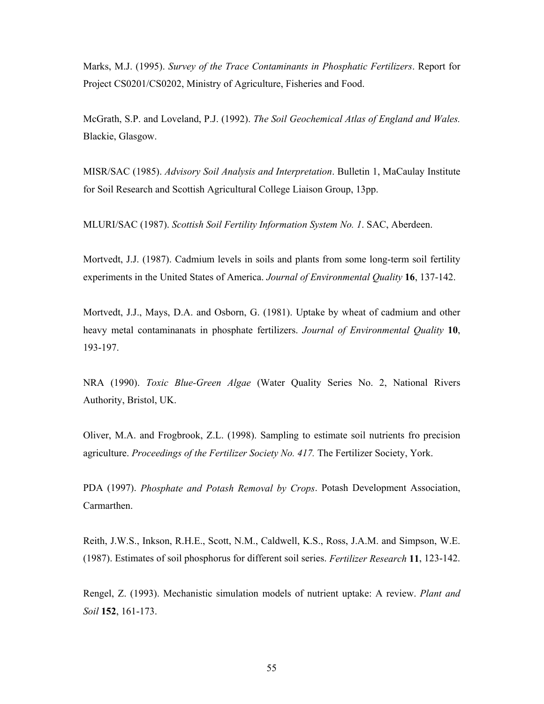Marks, M.J. (1995). *Survey of the Trace Contaminants in Phosphatic Fertilizers*. Report for Project CS0201/CS0202, Ministry of Agriculture, Fisheries and Food.

McGrath, S.P. and Loveland, P.J. (1992). *The Soil Geochemical Atlas of England and Wales.* Blackie, Glasgow.

MISR/SAC (1985). *Advisory Soil Analysis and Interpretation*. Bulletin 1, MaCaulay Institute for Soil Research and Scottish Agricultural College Liaison Group, 13pp.

MLURI/SAC (1987). *Scottish Soil Fertility Information System No. 1*. SAC, Aberdeen.

Mortvedt, J.J. (1987). Cadmium levels in soils and plants from some long-term soil fertility experiments in the United States of America. *Journal of Environmental Quality* **16**, 137-142.

Mortvedt, J.J., Mays, D.A. and Osborn, G. (1981). Uptake by wheat of cadmium and other heavy metal contaminanats in phosphate fertilizers. *Journal of Environmental Quality* **10**, 193-197.

NRA (1990). *Toxic Blue-Green Algae* (Water Quality Series No. 2, National Rivers Authority, Bristol, UK.

Oliver, M.A. and Frogbrook, Z.L. (1998). Sampling to estimate soil nutrients fro precision agriculture. *Proceedings of the Fertilizer Society No. 417.* The Fertilizer Society, York.

PDA (1997). *Phosphate and Potash Removal by Crops*. Potash Development Association, Carmarthen.

Reith, J.W.S., Inkson, R.H.E., Scott, N.M., Caldwell, K.S., Ross, J.A.M. and Simpson, W.E. (1987). Estimates of soil phosphorus for different soil series. *Fertilizer Research* **11**, 123-142.

Rengel, Z. (1993). Mechanistic simulation models of nutrient uptake: A review. *Plant and Soil* **152**, 161-173.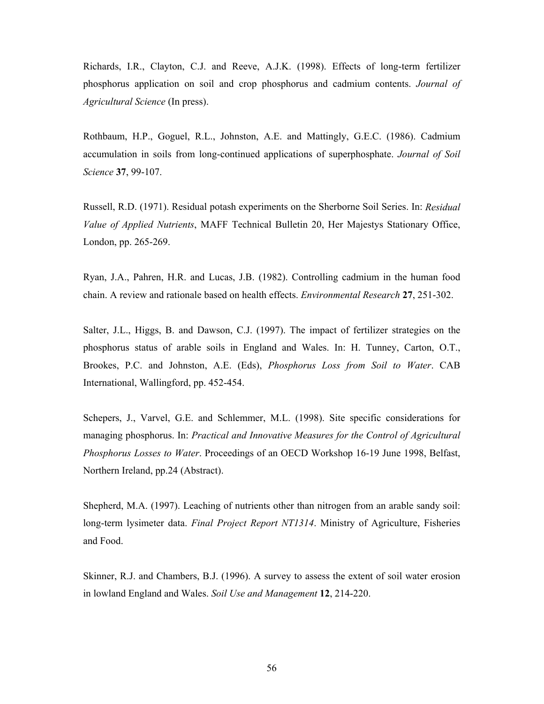Richards, I.R., Clayton, C.J. and Reeve, A.J.K. (1998). Effects of long-term fertilizer phosphorus application on soil and crop phosphorus and cadmium contents. *Journal of Agricultural Science* (In press).

Rothbaum, H.P., Goguel, R.L., Johnston, A.E. and Mattingly, G.E.C. (1986). Cadmium accumulation in soils from long-continued applications of superphosphate. *Journal of Soil Science* **37**, 99-107.

Russell, R.D. (1971). Residual potash experiments on the Sherborne Soil Series. In: *Residual Value of Applied Nutrients*, MAFF Technical Bulletin 20, Her Majestys Stationary Office, London, pp. 265-269.

Ryan, J.A., Pahren, H.R. and Lucas, J.B. (1982). Controlling cadmium in the human food chain. A review and rationale based on health effects. *Environmental Research* **27**, 251-302.

Salter, J.L., Higgs, B. and Dawson, C.J. (1997). The impact of fertilizer strategies on the phosphorus status of arable soils in England and Wales. In: H. Tunney, Carton, O.T., Brookes, P.C. and Johnston, A.E. (Eds), *Phosphorus Loss from Soil to Water*. CAB International, Wallingford, pp. 452-454.

Schepers, J., Varvel, G.E. and Schlemmer, M.L. (1998). Site specific considerations for managing phosphorus. In: *Practical and Innovative Measures for the Control of Agricultural Phosphorus Losses to Water*. Proceedings of an OECD Workshop 16-19 June 1998, Belfast, Northern Ireland, pp.24 (Abstract).

Shepherd, M.A. (1997). Leaching of nutrients other than nitrogen from an arable sandy soil: long-term lysimeter data. *Final Project Report NT1314*. Ministry of Agriculture, Fisheries and Food.

Skinner, R.J. and Chambers, B.J. (1996). A survey to assess the extent of soil water erosion in lowland England and Wales. *Soil Use and Management* **12**, 214-220.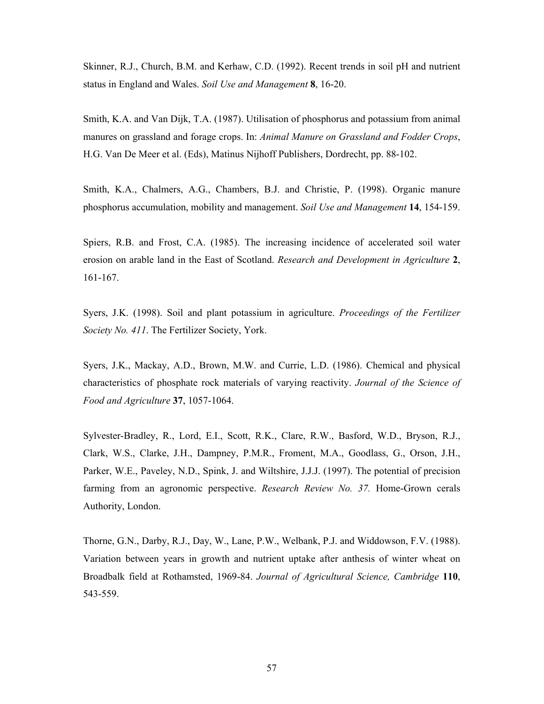Skinner, R.J., Church, B.M. and Kerhaw, C.D. (1992). Recent trends in soil pH and nutrient status in England and Wales. *Soil Use and Management* **8**, 16-20.

Smith, K.A. and Van Dijk, T.A. (1987). Utilisation of phosphorus and potassium from animal manures on grassland and forage crops. In: *Animal Manure on Grassland and Fodder Crops*, H.G. Van De Meer et al. (Eds), Matinus Nijhoff Publishers, Dordrecht, pp. 88-102.

Smith, K.A., Chalmers, A.G., Chambers, B.J. and Christie, P. (1998). Organic manure phosphorus accumulation, mobility and management. *Soil Use and Management* **14**, 154-159.

Spiers, R.B. and Frost, C.A. (1985). The increasing incidence of accelerated soil water erosion on arable land in the East of Scotland. *Research and Development in Agriculture* **2**, 161-167.

Syers, J.K. (1998). Soil and plant potassium in agriculture. *Proceedings of the Fertilizer Society No. 411*. The Fertilizer Society, York.

Syers, J.K., Mackay, A.D., Brown, M.W. and Currie, L.D. (1986). Chemical and physical characteristics of phosphate rock materials of varying reactivity. *Journal of the Science of Food and Agriculture* **37**, 1057-1064.

Sylvester-Bradley, R., Lord, E.I., Scott, R.K., Clare, R.W., Basford, W.D., Bryson, R.J., Clark, W.S., Clarke, J.H., Dampney, P.M.R., Froment, M.A., Goodlass, G., Orson, J.H., Parker, W.E., Paveley, N.D., Spink, J. and Wiltshire, J.J.J. (1997). The potential of precision farming from an agronomic perspective. *Research Review No. 37.* Home-Grown cerals Authority, London.

Thorne, G.N., Darby, R.J., Day, W., Lane, P.W., Welbank, P.J. and Widdowson, F.V. (1988). Variation between years in growth and nutrient uptake after anthesis of winter wheat on Broadbalk field at Rothamsted, 1969-84. *Journal of Agricultural Science, Cambridge* **110**, 543-559.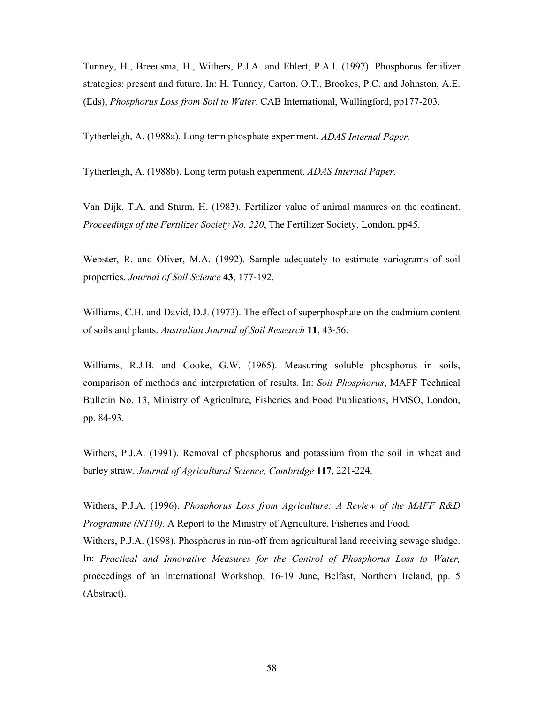Tunney, H., Breeusma, H., Withers, P.J.A. and Ehlert, P.A.I. (1997). Phosphorus fertilizer strategies: present and future. In: H. Tunney, Carton, O.T., Brookes, P.C. and Johnston, A.E. (Eds), *Phosphorus Loss from Soil to Water*. CAB International, Wallingford, pp177-203.

Tytherleigh, A. (1988a). Long term phosphate experiment. *ADAS Internal Paper.*

Tytherleigh, A. (1988b). Long term potash experiment. *ADAS Internal Paper.* 

Van Dijk, T.A. and Sturm, H. (1983). Fertilizer value of animal manures on the continent. *Proceedings of the Fertilizer Society No. 220*, The Fertilizer Society, London, pp45.

Webster, R. and Oliver, M.A. (1992). Sample adequately to estimate variograms of soil properties. *Journal of Soil Science* **43**, 177-192.

Williams, C.H. and David, D.J. (1973). The effect of superphosphate on the cadmium content of soils and plants. *Australian Journal of Soil Research* **11**, 43-56.

Williams, R.J.B. and Cooke, G.W. (1965). Measuring soluble phosphorus in soils, comparison of methods and interpretation of results. In: *Soil Phosphorus*, MAFF Technical Bulletin No. 13, Ministry of Agriculture, Fisheries and Food Publications, HMSO, London, pp. 84-93.

Withers, P.J.A. (1991). Removal of phosphorus and potassium from the soil in wheat and barley straw. *Journal of Agricultural Science, Cambridge* **117,** 221-224.

Withers, P.J.A. (1996). *Phosphorus Loss from Agriculture: A Review of the MAFF R&D Programme (NT10).* A Report to the Ministry of Agriculture, Fisheries and Food. Withers, P.J.A. (1998). Phosphorus in run-off from agricultural land receiving sewage sludge. In: *Practical and Innovative Measures for the Control of Phosphorus Loss to Water,* proceedings of an International Workshop, 16-19 June, Belfast, Northern Ireland, pp. 5 (Abstract).